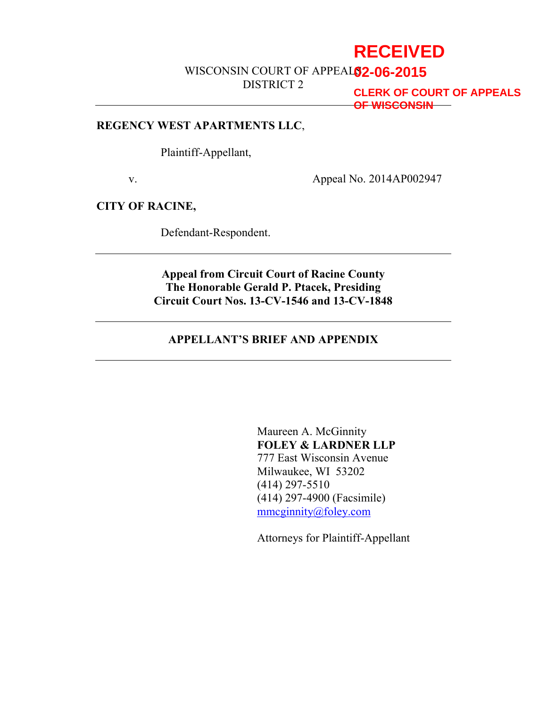# **RECEIVED**

WISCONSIN COURT OF APPEALS **02-06-2015**

DISTRICT 2

**CLERK OF COURT OF APPEALS OF WISCONSIN**

#### **REGENCY WEST APARTMENTS LLC**,

Plaintiff-Appellant,

v. Appeal No. 2014AP002947

**CITY OF RACINE,**

Defendant-Respondent.

### **Appeal from Circuit Court of Racine County The Honorable Gerald P. Ptacek, Presiding Circuit Court Nos. 13-CV-1546 and 13-CV-1848**

### **APPELLANT'S BRIEF AND APPENDIX**

Maureen A. McGinnity **FOLEY & LARDNER LLP** 777 East Wisconsin Avenue Milwaukee, WI 53202 (414) 297-5510 (414) 297-4900 (Facsimile) mmcginnity@foley.com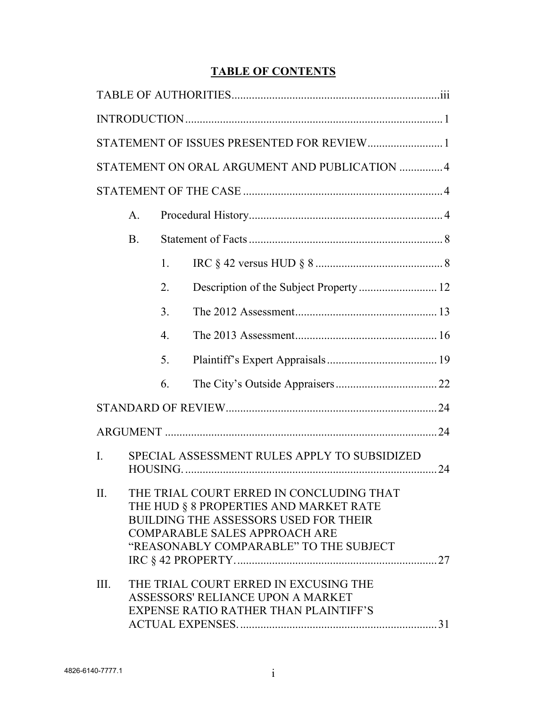# **TABLE OF CONTENTS**

| STATEMENT ON ORAL ARGUMENT AND PUBLICATION  4 |                                                                                                                                                                                                                      |                  |  |  |  |  |
|-----------------------------------------------|----------------------------------------------------------------------------------------------------------------------------------------------------------------------------------------------------------------------|------------------|--|--|--|--|
|                                               |                                                                                                                                                                                                                      |                  |  |  |  |  |
|                                               | $\mathsf{A}$ .                                                                                                                                                                                                       |                  |  |  |  |  |
|                                               | B.                                                                                                                                                                                                                   |                  |  |  |  |  |
|                                               |                                                                                                                                                                                                                      | 1.               |  |  |  |  |
|                                               |                                                                                                                                                                                                                      | 2.               |  |  |  |  |
|                                               |                                                                                                                                                                                                                      | 3.               |  |  |  |  |
|                                               |                                                                                                                                                                                                                      | $\overline{4}$ . |  |  |  |  |
|                                               |                                                                                                                                                                                                                      | 5.               |  |  |  |  |
|                                               |                                                                                                                                                                                                                      | 6.               |  |  |  |  |
|                                               |                                                                                                                                                                                                                      |                  |  |  |  |  |
|                                               |                                                                                                                                                                                                                      |                  |  |  |  |  |
| $\mathbf{I}$ .                                | SPECIAL ASSESSMENT RULES APPLY TO SUBSIDIZED                                                                                                                                                                         |                  |  |  |  |  |
| II.                                           | THE TRIAL COURT ERRED IN CONCLUDING THAT<br>THE HUD § 8 PROPERTIES AND MARKET RATE<br><b>BUILDING THE ASSESSORS USED FOR THEIR</b><br><b>COMPARABLE SALES APPROACH ARE</b><br>"REASONABLY COMPARABLE" TO THE SUBJECT |                  |  |  |  |  |
| III.                                          | THE TRIAL COURT ERRED IN EXCUSING THE<br>ASSESSORS' RELIANCE UPON A MARKET<br><b>EXPENSE RATIO RATHER THAN PLAINTIFF'S</b>                                                                                           |                  |  |  |  |  |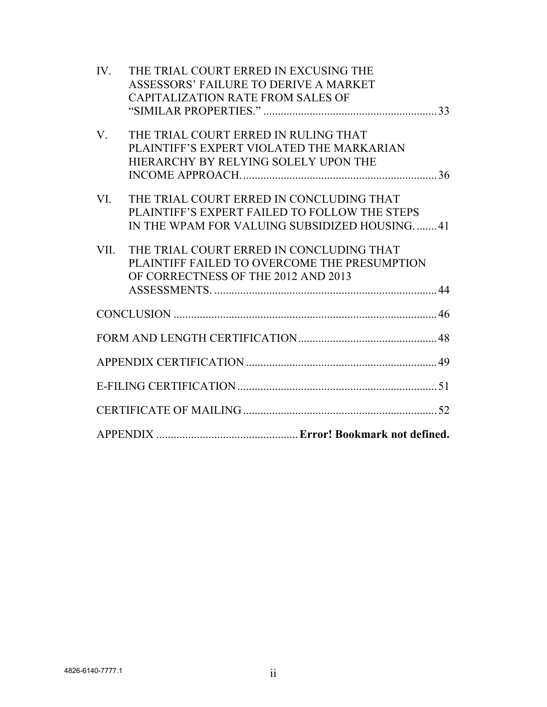| IV.     | THE TRIAL COURT ERRED IN EXCUSING THE         |  |
|---------|-----------------------------------------------|--|
|         | ASSESSORS' FAILURE TO DERIVE A MARKET         |  |
|         | <b>CAPITALIZATION RATE FROM SALES OF</b>      |  |
|         |                                               |  |
| $V_{.}$ | THE TRIAL COURT ERRED IN RULING THAT          |  |
|         | PLAINTIFF'S EXPERT VIOLATED THE MARKARIAN     |  |
|         | HIERARCHY BY RELYING SOLELY UPON THE          |  |
|         |                                               |  |
| VI.     | THE TRIAL COURT ERRED IN CONCLUDING THAT      |  |
|         | PLAINTIFF'S EXPERT FAILED TO FOLLOW THE STEPS |  |
|         | IN THE WPAM FOR VALUING SUBSIDIZED HOUSING41  |  |
|         |                                               |  |
| VII.    | THE TRIAL COURT ERRED IN CONCLUDING THAT      |  |
|         | PLAINTIFF FAILED TO OVERCOME THE PRESUMPTION  |  |
|         | OF CORRECTNESS OF THE 2012 AND 2013           |  |
|         |                                               |  |
|         |                                               |  |
|         |                                               |  |
|         |                                               |  |
|         |                                               |  |
|         |                                               |  |
|         |                                               |  |
|         |                                               |  |
|         |                                               |  |
|         |                                               |  |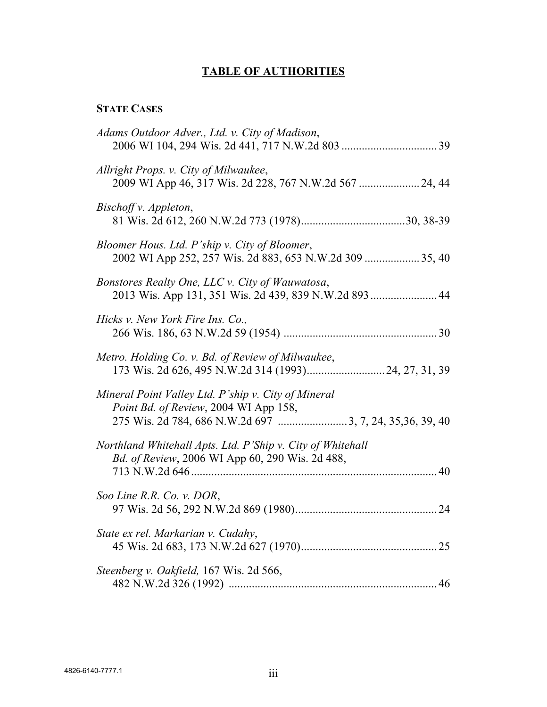# **TABLE OF AUTHORITIES**

# **STATE CASES**

| Adams Outdoor Adver., Ltd. v. City of Madison,                                                                                                          |  |
|---------------------------------------------------------------------------------------------------------------------------------------------------------|--|
| Allright Props. v. City of Milwaukee,<br>2009 WI App 46, 317 Wis. 2d 228, 767 N.W.2d 567  24, 44                                                        |  |
| Bischoff v. Appleton,                                                                                                                                   |  |
| Bloomer Hous. Ltd. P'ship v. City of Bloomer,<br>2002 WI App 252, 257 Wis. 2d 883, 653 N.W.2d 309  35, 40                                               |  |
| Bonstores Realty One, LLC v. City of Wauwatosa,<br>2013 Wis. App 131, 351 Wis. 2d 439, 839 N.W.2d 893 44                                                |  |
| Hicks v. New York Fire Ins. Co.,                                                                                                                        |  |
| Metro. Holding Co. v. Bd. of Review of Milwaukee,<br>173 Wis. 2d 626, 495 N.W.2d 314 (1993) 24, 27, 31, 39                                              |  |
| Mineral Point Valley Ltd. P'ship v. City of Mineral<br>Point Bd. of Review, 2004 WI App 158,<br>275 Wis. 2d 784, 686 N.W.2d 697 3, 7, 24, 35,36, 39, 40 |  |
| Northland Whitehall Apts. Ltd. P'Ship v. City of Whitehall<br>Bd. of Review, 2006 WI App 60, 290 Wis. 2d 488,                                           |  |
| Soo Line R.R. Co. v. DOR,                                                                                                                               |  |
| State ex rel. Markarian v. Cudahy,                                                                                                                      |  |
| Steenberg v. Oakfield, 167 Wis. 2d 566,                                                                                                                 |  |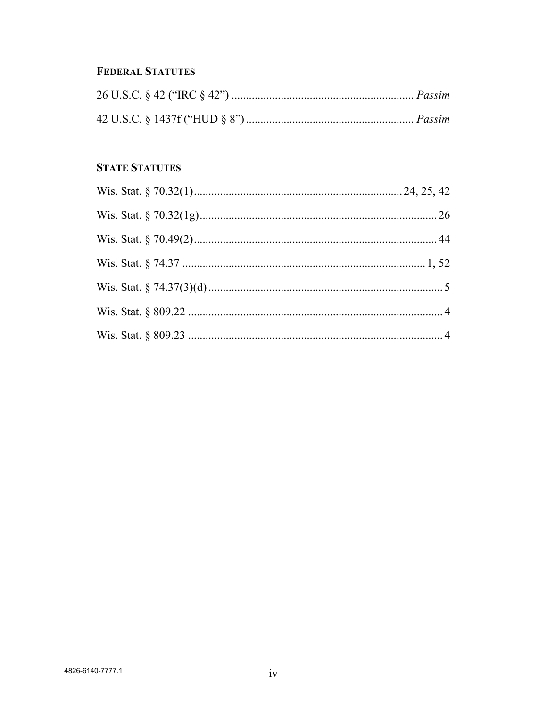# **FEDERAL STATUTES**

# **STATE STATUTES**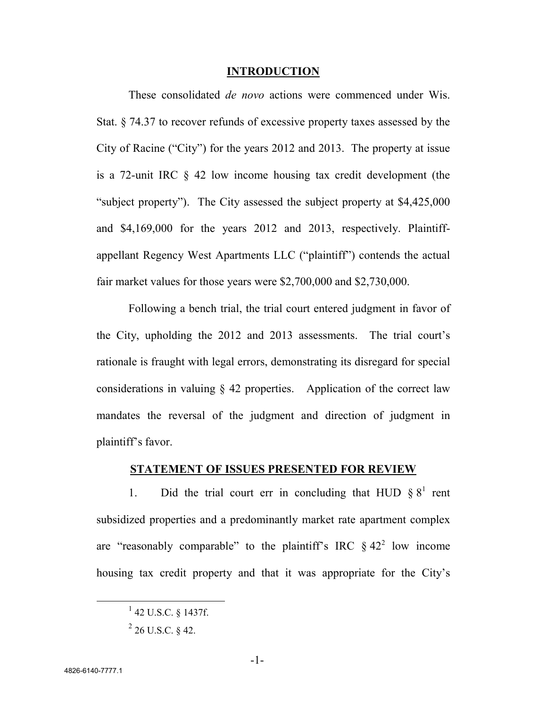#### **INTRODUCTION**

These consolidated *de novo* actions were commenced under Wis. Stat. § 74.37 to recover refunds of excessive property taxes assessed by the City of Racine ("City") for the years 2012 and 2013. The property at issue is a 72-unit IRC § 42 low income housing tax credit development (the "subject property"). The City assessed the subject property at \$4,425,000 and \$4,169,000 for the years 2012 and 2013, respectively. Plaintiffappellant Regency West Apartments LLC ("plaintiff") contends the actual fair market values for those years were \$2,700,000 and \$2,730,000.

Following a bench trial, the trial court entered judgment in favor of the City, upholding the 2012 and 2013 assessments. The trial court's rationale is fraught with legal errors, demonstrating its disregard for special considerations in valuing § 42 properties. Application of the correct law mandates the reversal of the judgment and direction of judgment in plaintiff's favor.

#### **STATEMENT OF ISSUES PRESENTED FOR REVIEW**

1. Did the trial court err in concluding that HUD  $\S 8<sup>1</sup>$  rent subsidized properties and a predominantly market rate apartment complex are "reasonably comparable" to the plaintiff's IRC  $\S 42^2$  low income housing tax credit property and that it was appropriate for the City's

 $^{1}$  42 U.S.C. § 1437f.

 $^{2}$  26 U.S.C. § 42.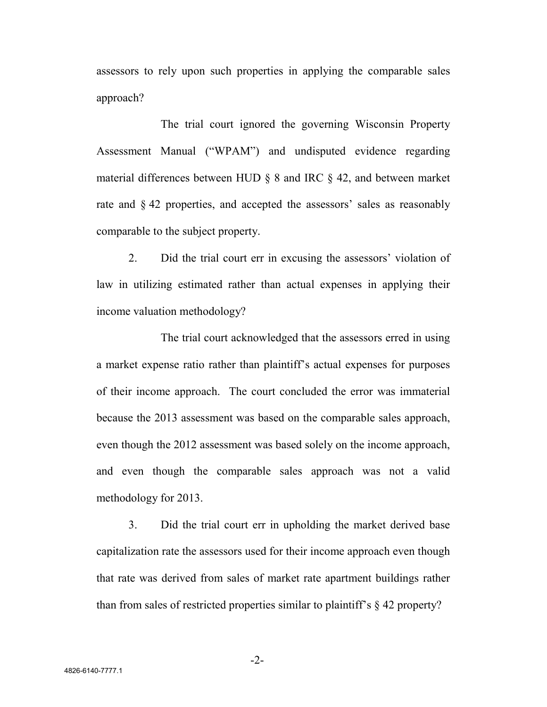assessors to rely upon such properties in applying the comparable sales approach?

The trial court ignored the governing Wisconsin Property Assessment Manual ("WPAM") and undisputed evidence regarding material differences between HUD § 8 and IRC § 42, and between market rate and § 42 properties, and accepted the assessors' sales as reasonably comparable to the subject property.

2. Did the trial court err in excusing the assessors' violation of law in utilizing estimated rather than actual expenses in applying their income valuation methodology?

The trial court acknowledged that the assessors erred in using a market expense ratio rather than plaintiff's actual expenses for purposes of their income approach. The court concluded the error was immaterial because the 2013 assessment was based on the comparable sales approach, even though the 2012 assessment was based solely on the income approach, and even though the comparable sales approach was not a valid methodology for 2013.

3. Did the trial court err in upholding the market derived base capitalization rate the assessors used for their income approach even though that rate was derived from sales of market rate apartment buildings rather than from sales of restricted properties similar to plaintiff's § 42 property?

-2-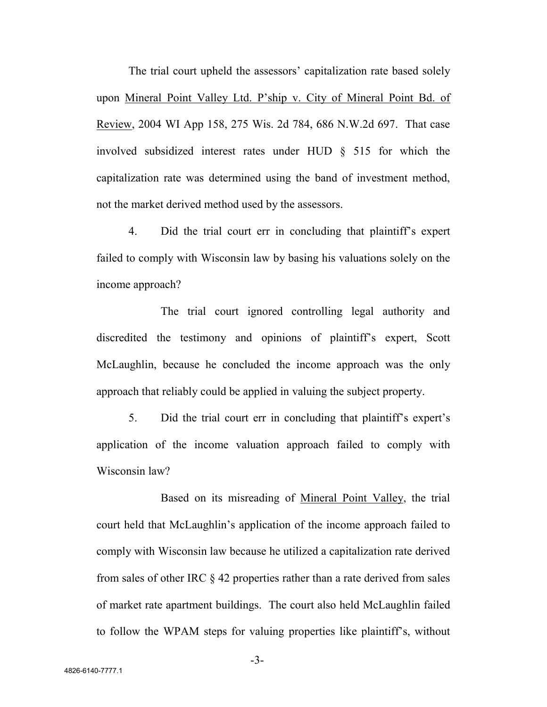The trial court upheld the assessors' capitalization rate based solely upon Mineral Point Valley Ltd. P'ship v. City of Mineral Point Bd. of Review, 2004 WI App 158, 275 Wis. 2d 784, 686 N.W.2d 697. That case involved subsidized interest rates under HUD § 515 for which the capitalization rate was determined using the band of investment method, not the market derived method used by the assessors.

4. Did the trial court err in concluding that plaintiff's expert failed to comply with Wisconsin law by basing his valuations solely on the income approach?

The trial court ignored controlling legal authority and discredited the testimony and opinions of plaintiff's expert, Scott McLaughlin, because he concluded the income approach was the only approach that reliably could be applied in valuing the subject property.

5. Did the trial court err in concluding that plaintiff's expert's application of the income valuation approach failed to comply with Wisconsin law?

Based on its misreading of Mineral Point Valley, the trial court held that McLaughlin's application of the income approach failed to comply with Wisconsin law because he utilized a capitalization rate derived from sales of other IRC § 42 properties rather than a rate derived from sales of market rate apartment buildings. The court also held McLaughlin failed to follow the WPAM steps for valuing properties like plaintiff's, without

-3-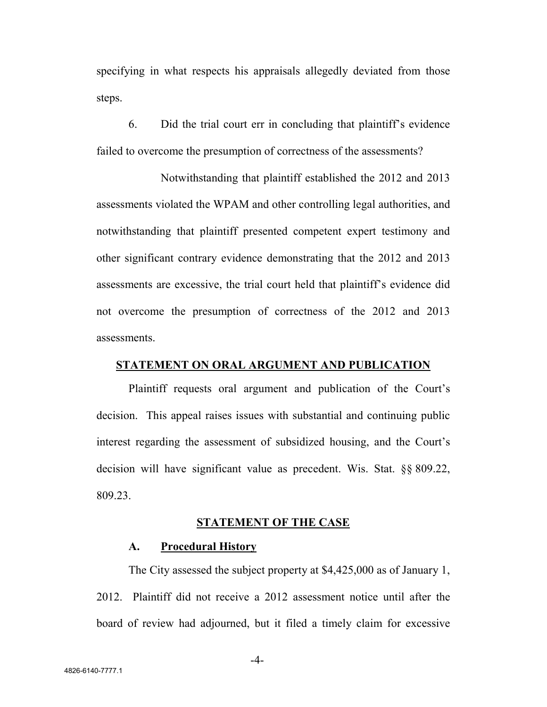specifying in what respects his appraisals allegedly deviated from those steps.

6. Did the trial court err in concluding that plaintiff's evidence failed to overcome the presumption of correctness of the assessments?

Notwithstanding that plaintiff established the 2012 and 2013 assessments violated the WPAM and other controlling legal authorities, and notwithstanding that plaintiff presented competent expert testimony and other significant contrary evidence demonstrating that the 2012 and 2013 assessments are excessive, the trial court held that plaintiff's evidence did not overcome the presumption of correctness of the 2012 and 2013 assessments.

### **STATEMENT ON ORAL ARGUMENT AND PUBLICATION**

Plaintiff requests oral argument and publication of the Court's decision. This appeal raises issues with substantial and continuing public interest regarding the assessment of subsidized housing, and the Court's decision will have significant value as precedent. Wis. Stat. §§ 809.22, 809.23.

#### **STATEMENT OF THE CASE**

#### **A. Procedural History**

The City assessed the subject property at \$4,425,000 as of January 1, 2012. Plaintiff did not receive a 2012 assessment notice until after the board of review had adjourned, but it filed a timely claim for excessive

-4-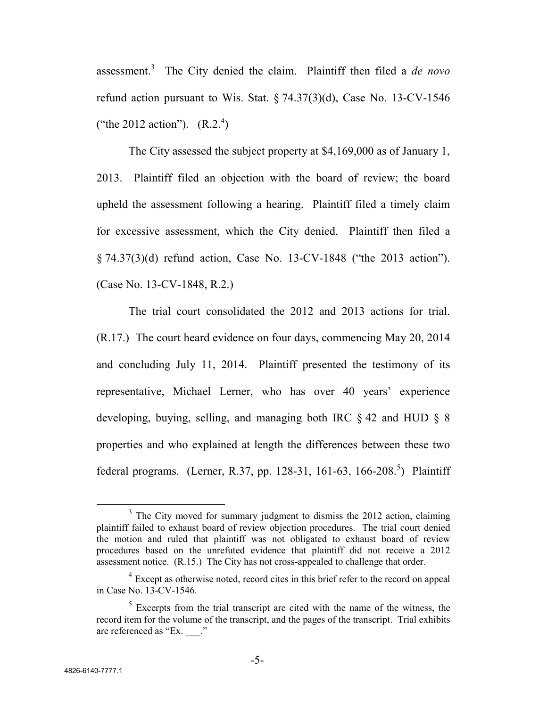assessment.<sup>3</sup> The City denied the claim. Plaintiff then filed a *de novo* refund action pursuant to Wis. Stat. § 74.37(3)(d), Case No. 13-CV-1546 ("the 2012 action").  $(R.2.^4)$ 

The City assessed the subject property at \$4,169,000 as of January 1, 2013. Plaintiff filed an objection with the board of review; the board upheld the assessment following a hearing. Plaintiff filed a timely claim for excessive assessment, which the City denied. Plaintiff then filed a § 74.37(3)(d) refund action, Case No. 13-CV-1848 ("the 2013 action"). (Case No. 13-CV-1848, R.2.)

The trial court consolidated the 2012 and 2013 actions for trial. (R.17.) The court heard evidence on four days, commencing May 20, 2014 and concluding July 11, 2014. Plaintiff presented the testimony of its representative, Michael Lerner, who has over 40 years' experience developing, buying, selling, and managing both IRC  $\S$  42 and HUD  $\S$  8 properties and who explained at length the differences between these two federal programs. (Lerner, R.37, pp. 128-31, 161-63, 166-208.<sup>5</sup>) Plaintiff

 $3$  The City moved for summary judgment to dismiss the 2012 action, claiming plaintiff failed to exhaust board of review objection procedures. The trial court denied the motion and ruled that plaintiff was not obligated to exhaust board of review procedures based on the unrefuted evidence that plaintiff did not receive a 2012 assessment notice. (R.15.) The City has not cross-appealed to challenge that order.

 $4$  Except as otherwise noted, record cites in this brief refer to the record on appeal in Case No. 13-CV-1546.

 $5$  Excerpts from the trial transcript are cited with the name of the witness, the record item for the volume of the transcript, and the pages of the transcript. Trial exhibits are referenced as "Ex. \_\_\_."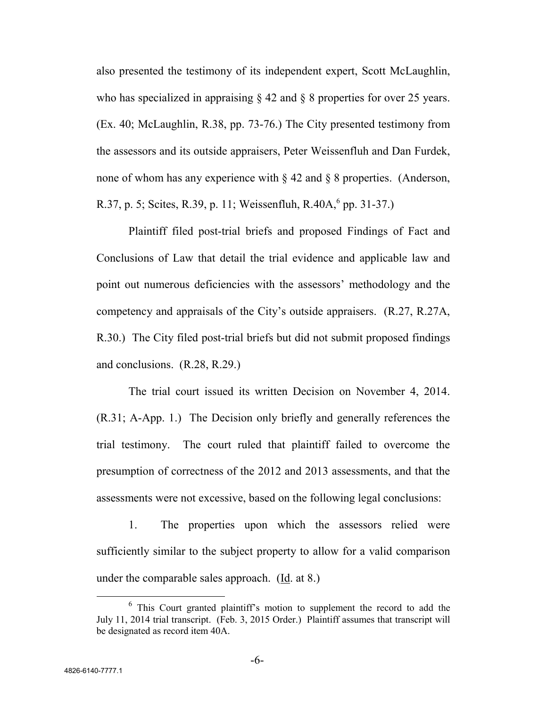also presented the testimony of its independent expert, Scott McLaughlin, who has specialized in appraising  $\S 42$  and  $\S 8$  properties for over 25 years. (Ex. 40; McLaughlin, R.38, pp. 73-76.) The City presented testimony from the assessors and its outside appraisers, Peter Weissenfluh and Dan Furdek, none of whom has any experience with  $\S 42$  and  $\S 8$  properties. (Anderson, R.37, p. 5; Scites, R.39, p. 11; Weissenfluh, R.40A, pp. 31-37.)

Plaintiff filed post-trial briefs and proposed Findings of Fact and Conclusions of Law that detail the trial evidence and applicable law and point out numerous deficiencies with the assessors' methodology and the competency and appraisals of the City's outside appraisers. (R.27, R.27A, R.30.) The City filed post-trial briefs but did not submit proposed findings and conclusions. (R.28, R.29.)

The trial court issued its written Decision on November 4, 2014. (R.31; A-App. 1.) The Decision only briefly and generally references the trial testimony. The court ruled that plaintiff failed to overcome the presumption of correctness of the 2012 and 2013 assessments, and that the assessments were not excessive, based on the following legal conclusions:

1. The properties upon which the assessors relied were sufficiently similar to the subject property to allow for a valid comparison under the comparable sales approach. (Id. at 8.)

<sup>&</sup>lt;sup>6</sup> This Court granted plaintiff's motion to supplement the record to add the July 11, 2014 trial transcript. (Feb. 3, 2015 Order.) Plaintiff assumes that transcript will be designated as record item 40A.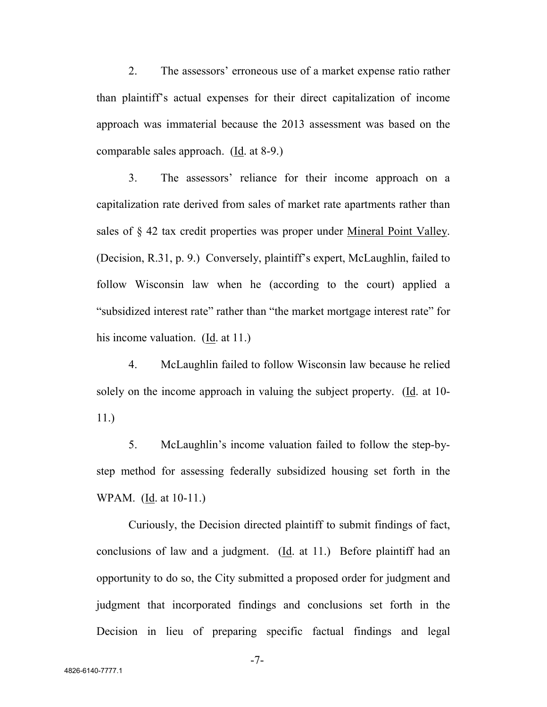2. The assessors' erroneous use of a market expense ratio rather than plaintiff's actual expenses for their direct capitalization of income approach was immaterial because the 2013 assessment was based on the comparable sales approach. (Id. at 8-9.)

3. The assessors' reliance for their income approach on a capitalization rate derived from sales of market rate apartments rather than sales of § 42 tax credit properties was proper under Mineral Point Valley. (Decision, R.31, p. 9.) Conversely, plaintiff's expert, McLaughlin, failed to follow Wisconsin law when he (according to the court) applied a "subsidized interest rate" rather than "the market mortgage interest rate" for his income valuation. (Id. at 11.)

4. McLaughlin failed to follow Wisconsin law because he relied solely on the income approach in valuing the subject property. (Id. at 10- 11.)

5. McLaughlin's income valuation failed to follow the step-bystep method for assessing federally subsidized housing set forth in the WPAM. (Id. at 10-11.)

Curiously, the Decision directed plaintiff to submit findings of fact, conclusions of law and a judgment. (Id. at 11.) Before plaintiff had an opportunity to do so, the City submitted a proposed order for judgment and judgment that incorporated findings and conclusions set forth in the Decision in lieu of preparing specific factual findings and legal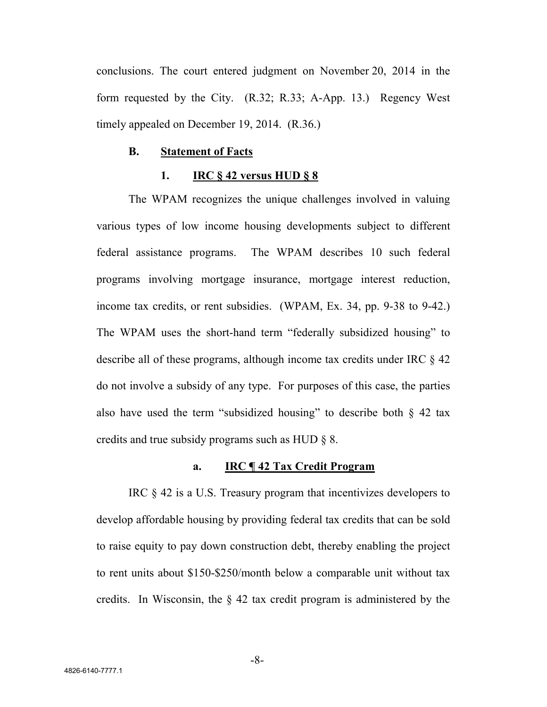conclusions. The court entered judgment on November 20, 2014 in the form requested by the City. (R.32; R.33; A-App. 13.) Regency West timely appealed on December 19, 2014. (R.36.)

#### **B. Statement of Facts**

#### **1. IRC § 42 versus HUD § 8**

The WPAM recognizes the unique challenges involved in valuing various types of low income housing developments subject to different federal assistance programs. The WPAM describes 10 such federal programs involving mortgage insurance, mortgage interest reduction, income tax credits, or rent subsidies. (WPAM, Ex. 34, pp. 9-38 to 9-42.) The WPAM uses the short-hand term "federally subsidized housing" to describe all of these programs, although income tax credits under IRC § 42 do not involve a subsidy of any type. For purposes of this case, the parties also have used the term "subsidized housing" to describe both  $\S$  42 tax credits and true subsidy programs such as HUD § 8.

#### **a. IRC ¶ 42 Tax Credit Program**

IRC § 42 is a U.S. Treasury program that incentivizes developers to develop affordable housing by providing federal tax credits that can be sold to raise equity to pay down construction debt, thereby enabling the project to rent units about \$150-\$250/month below a comparable unit without tax credits. In Wisconsin, the § 42 tax credit program is administered by the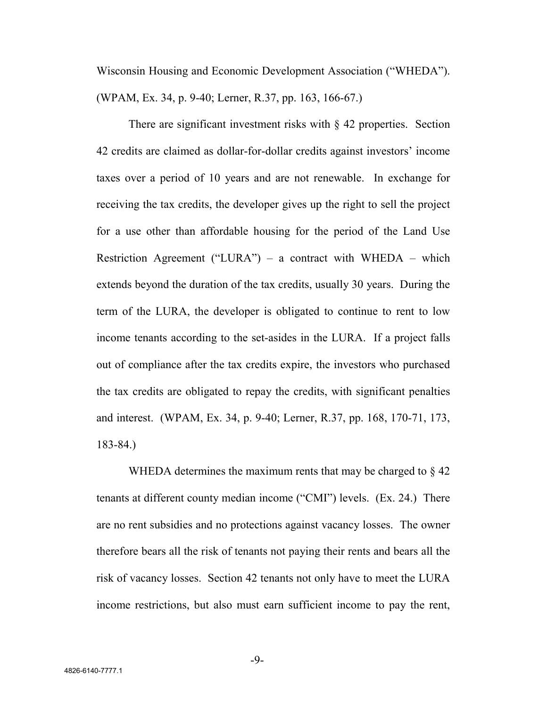Wisconsin Housing and Economic Development Association ("WHEDA"). (WPAM, Ex. 34, p. 9-40; Lerner, R.37, pp. 163, 166-67.)

There are significant investment risks with  $\S$  42 properties. Section 42 credits are claimed as dollar-for-dollar credits against investors' income taxes over a period of 10 years and are not renewable. In exchange for receiving the tax credits, the developer gives up the right to sell the project for a use other than affordable housing for the period of the Land Use Restriction Agreement ("LURA") – a contract with WHEDA – which extends beyond the duration of the tax credits, usually 30 years. During the term of the LURA, the developer is obligated to continue to rent to low income tenants according to the set-asides in the LURA. If a project falls out of compliance after the tax credits expire, the investors who purchased the tax credits are obligated to repay the credits, with significant penalties and interest. (WPAM, Ex. 34, p. 9-40; Lerner, R.37, pp. 168, 170-71, 173, 183-84.)

WHEDA determines the maximum rents that may be charged to  $\S$  42 tenants at different county median income ("CMI") levels. (Ex. 24.) There are no rent subsidies and no protections against vacancy losses. The owner therefore bears all the risk of tenants not paying their rents and bears all the risk of vacancy losses. Section 42 tenants not only have to meet the LURA income restrictions, but also must earn sufficient income to pay the rent,

-9-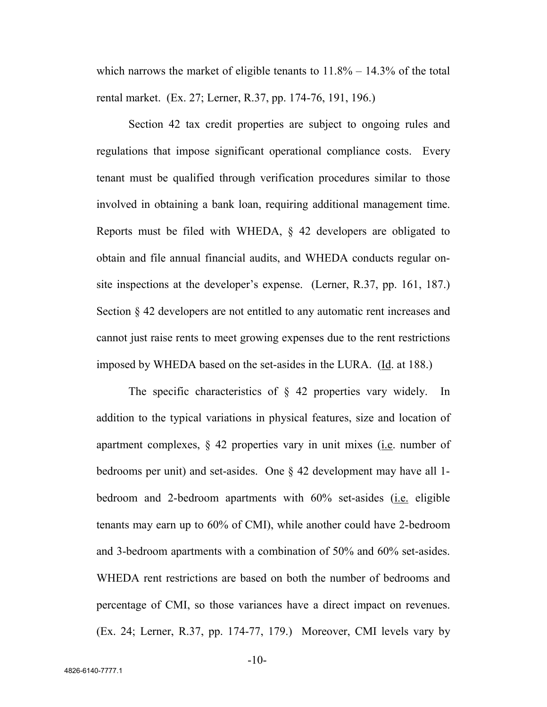which narrows the market of eligible tenants to  $11.8\% - 14.3\%$  of the total rental market. (Ex. 27; Lerner, R.37, pp. 174-76, 191, 196.)

Section 42 tax credit properties are subject to ongoing rules and regulations that impose significant operational compliance costs. Every tenant must be qualified through verification procedures similar to those involved in obtaining a bank loan, requiring additional management time. Reports must be filed with WHEDA, § 42 developers are obligated to obtain and file annual financial audits, and WHEDA conducts regular onsite inspections at the developer's expense. (Lerner, R.37, pp. 161, 187.) Section § 42 developers are not entitled to any automatic rent increases and cannot just raise rents to meet growing expenses due to the rent restrictions imposed by WHEDA based on the set-asides in the LURA. (Id. at 188.)

The specific characteristics of  $\S$  42 properties vary widely. In addition to the typical variations in physical features, size and location of apartment complexes,  $\S$  42 properties vary in unit mixes (i.e. number of bedrooms per unit) and set-asides. One § 42 development may have all 1 bedroom and 2-bedroom apartments with 60% set-asides (i.e. eligible tenants may earn up to 60% of CMI), while another could have 2-bedroom and 3-bedroom apartments with a combination of 50% and 60% set-asides. WHEDA rent restrictions are based on both the number of bedrooms and percentage of CMI, so those variances have a direct impact on revenues. (Ex. 24; Lerner, R.37, pp. 174-77, 179.) Moreover, CMI levels vary by

-10-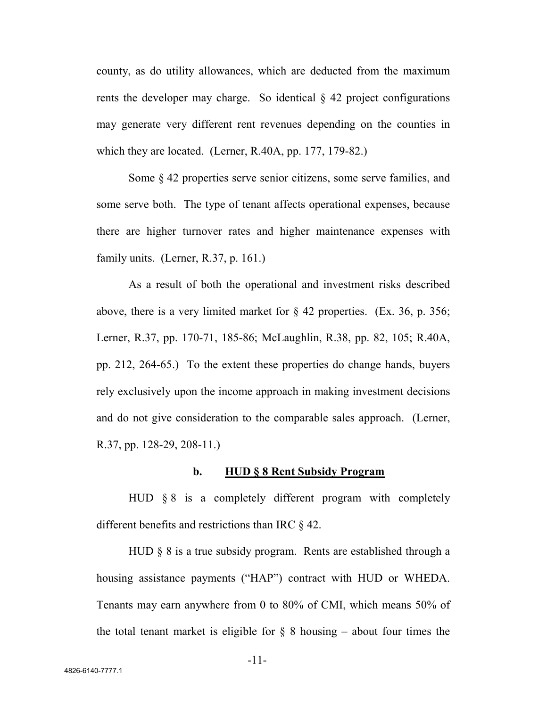county, as do utility allowances, which are deducted from the maximum rents the developer may charge. So identical  $\S$  42 project configurations may generate very different rent revenues depending on the counties in which they are located. (Lerner, R.40A, pp. 177, 179-82.)

Some § 42 properties serve senior citizens, some serve families, and some serve both. The type of tenant affects operational expenses, because there are higher turnover rates and higher maintenance expenses with family units. (Lerner, R.37, p. 161.)

As a result of both the operational and investment risks described above, there is a very limited market for  $\S$  42 properties. (Ex. 36, p. 356; Lerner, R.37, pp. 170-71, 185-86; McLaughlin, R.38, pp. 82, 105; R.40A, pp. 212, 264-65.) To the extent these properties do change hands, buyers rely exclusively upon the income approach in making investment decisions and do not give consideration to the comparable sales approach. (Lerner, R.37, pp. 128-29, 208-11.)

#### **b. HUD § 8 Rent Subsidy Program**

HUD § 8 is a completely different program with completely different benefits and restrictions than IRC § 42.

HUD § 8 is a true subsidy program. Rents are established through a housing assistance payments ("HAP") contract with HUD or WHEDA. Tenants may earn anywhere from 0 to 80% of CMI, which means 50% of the total tenant market is eligible for  $\S$  8 housing – about four times the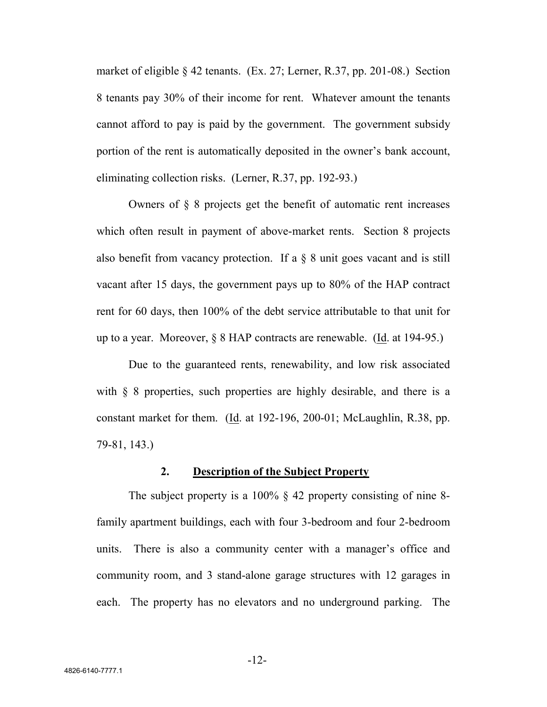market of eligible § 42 tenants. (Ex. 27; Lerner, R.37, pp. 201-08.) Section 8 tenants pay 30% of their income for rent. Whatever amount the tenants cannot afford to pay is paid by the government. The government subsidy portion of the rent is automatically deposited in the owner's bank account, eliminating collection risks. (Lerner, R.37, pp. 192-93.)

Owners of § 8 projects get the benefit of automatic rent increases which often result in payment of above-market rents. Section 8 projects also benefit from vacancy protection. If a § 8 unit goes vacant and is still vacant after 15 days, the government pays up to 80% of the HAP contract rent for 60 days, then 100% of the debt service attributable to that unit for up to a year. Moreover,  $\S 8$  HAP contracts are renewable. (Id. at 194-95.)

Due to the guaranteed rents, renewability, and low risk associated with § 8 properties, such properties are highly desirable, and there is a constant market for them. (Id. at 192-196, 200-01; McLaughlin, R.38, pp. 79-81, 143.)

### **2. Description of the Subject Property**

The subject property is a 100% § 42 property consisting of nine 8family apartment buildings, each with four 3-bedroom and four 2-bedroom units. There is also a community center with a manager's office and community room, and 3 stand-alone garage structures with 12 garages in each. The property has no elevators and no underground parking. The

-12-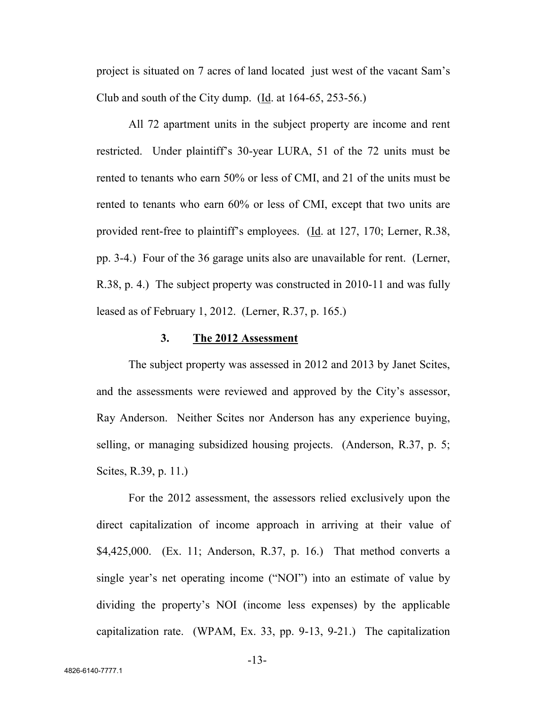project is situated on 7 acres of land located just west of the vacant Sam's Club and south of the City dump. (Id. at 164-65, 253-56.)

All 72 apartment units in the subject property are income and rent restricted. Under plaintiff's 30-year LURA, 51 of the 72 units must be rented to tenants who earn 50% or less of CMI, and 21 of the units must be rented to tenants who earn 60% or less of CMI, except that two units are provided rent-free to plaintiff's employees. (Id. at 127, 170; Lerner, R.38, pp. 3-4.) Four of the 36 garage units also are unavailable for rent. (Lerner, R.38, p. 4.) The subject property was constructed in 2010-11 and was fully leased as of February 1, 2012. (Lerner, R.37, p. 165.)

#### **3. The 2012 Assessment**

The subject property was assessed in 2012 and 2013 by Janet Scites, and the assessments were reviewed and approved by the City's assessor, Ray Anderson. Neither Scites nor Anderson has any experience buying, selling, or managing subsidized housing projects. (Anderson, R.37, p. 5; Scites, R.39, p. 11.)

For the 2012 assessment, the assessors relied exclusively upon the direct capitalization of income approach in arriving at their value of \$4,425,000. (Ex. 11; Anderson, R.37, p. 16.) That method converts a single year's net operating income ("NOI") into an estimate of value by dividing the property's NOI (income less expenses) by the applicable capitalization rate. (WPAM, Ex. 33, pp. 9-13, 9-21.) The capitalization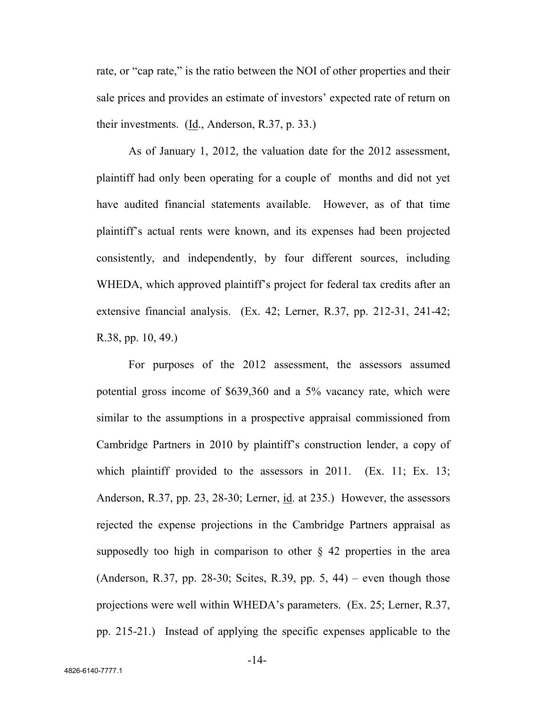rate, or "cap rate," is the ratio between the NOI of other properties and their sale prices and provides an estimate of investors' expected rate of return on their investments. (Id., Anderson, R.37, p. 33.)

As of January 1, 2012, the valuation date for the 2012 assessment, plaintiff had only been operating for a couple of months and did not yet have audited financial statements available. However, as of that time plaintiff's actual rents were known, and its expenses had been projected consistently, and independently, by four different sources, including WHEDA, which approved plaintiff's project for federal tax credits after an extensive financial analysis. (Ex. 42; Lerner, R.37, pp. 212-31, 241-42; R.38, pp. 10, 49.)

For purposes of the 2012 assessment, the assessors assumed potential gross income of \$639,360 and a 5% vacancy rate, which were similar to the assumptions in a prospective appraisal commissioned from Cambridge Partners in 2010 by plaintiff's construction lender, a copy of which plaintiff provided to the assessors in 2011. (Ex. 11; Ex. 13; Anderson, R.37, pp. 23, 28-30; Lerner, id. at 235.) However, the assessors rejected the expense projections in the Cambridge Partners appraisal as supposedly too high in comparison to other  $\S$  42 properties in the area (Anderson, R.37, pp. 28-30; Scites, R.39, pp. 5, 44) – even though those projections were well within WHEDA's parameters. (Ex. 25; Lerner, R.37, pp. 215-21.) Instead of applying the specific expenses applicable to the

-14-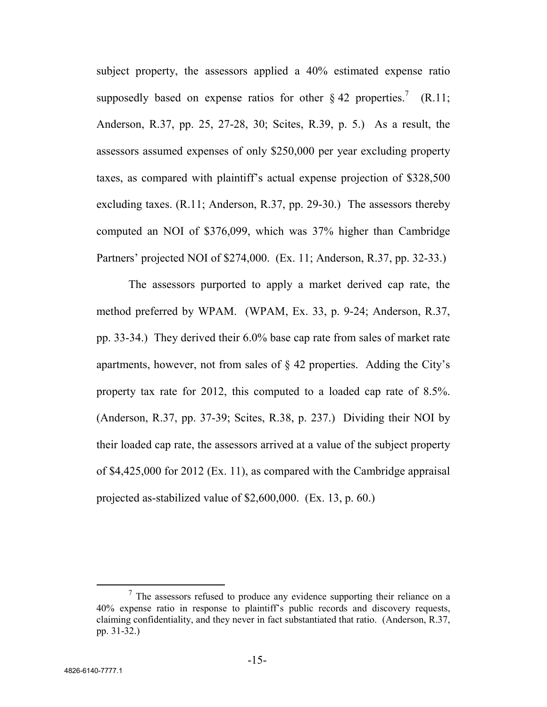subject property, the assessors applied a 40% estimated expense ratio supposedly based on expense ratios for other  $\S 42$  properties.<sup>7</sup> (R.11; Anderson, R.37, pp. 25, 27-28, 30; Scites, R.39, p. 5.) As a result, the assessors assumed expenses of only \$250,000 per year excluding property taxes, as compared with plaintiff's actual expense projection of \$328,500 excluding taxes.  $(R.11;$  Anderson,  $R.37$ , pp. 29-30.) The assessors thereby computed an NOI of \$376,099, which was 37% higher than Cambridge Partners' projected NOI of \$274,000. (Ex. 11; Anderson, R.37, pp. 32-33.)

The assessors purported to apply a market derived cap rate, the method preferred by WPAM. (WPAM, Ex. 33, p. 9-24; Anderson, R.37, pp. 33-34.) They derived their 6.0% base cap rate from sales of market rate apartments, however, not from sales of  $\S$  42 properties. Adding the City's property tax rate for 2012, this computed to a loaded cap rate of 8.5%. (Anderson, R.37, pp. 37-39; Scites, R.38, p. 237.) Dividing their NOI by their loaded cap rate, the assessors arrived at a value of the subject property of \$4,425,000 for 2012 (Ex. 11), as compared with the Cambridge appraisal projected as-stabilized value of \$2,600,000. (Ex. 13, p. 60.)

 $<sup>7</sup>$  The assessors refused to produce any evidence supporting their reliance on a</sup> 40% expense ratio in response to plaintiff's public records and discovery requests, claiming confidentiality, and they never in fact substantiated that ratio. (Anderson, R.37, pp. 31-32.)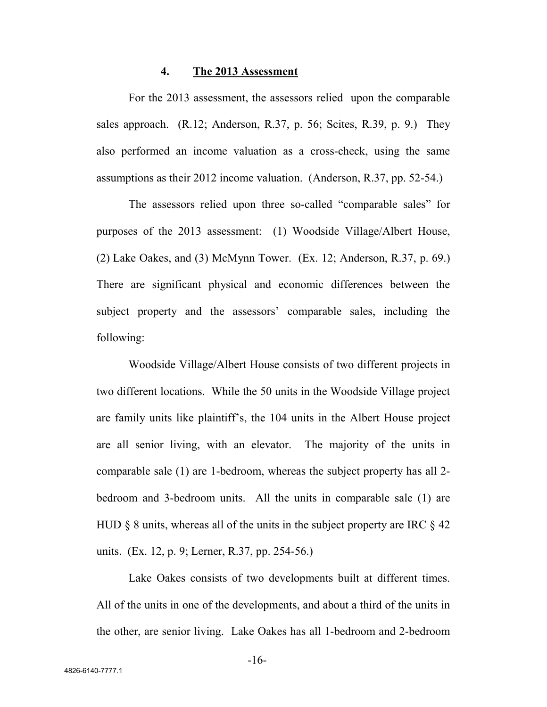#### **4. The 2013 Assessment**

For the 2013 assessment, the assessors relied upon the comparable sales approach. (R.12; Anderson, R.37, p. 56; Scites, R.39, p. 9.) They also performed an income valuation as a cross-check, using the same assumptions as their 2012 income valuation. (Anderson, R.37, pp. 52-54.)

The assessors relied upon three so-called "comparable sales" for purposes of the 2013 assessment: (1) Woodside Village/Albert House, (2) Lake Oakes, and (3) McMynn Tower. (Ex. 12; Anderson, R.37, p. 69.) There are significant physical and economic differences between the subject property and the assessors' comparable sales, including the following:

Woodside Village/Albert House consists of two different projects in two different locations. While the 50 units in the Woodside Village project are family units like plaintiff's, the 104 units in the Albert House project are all senior living, with an elevator. The majority of the units in comparable sale (1) are 1-bedroom, whereas the subject property has all 2 bedroom and 3-bedroom units. All the units in comparable sale (1) are HUD  $\S$  8 units, whereas all of the units in the subject property are IRC  $\S$  42 units. (Ex. 12, p. 9; Lerner, R.37, pp. 254-56.)

Lake Oakes consists of two developments built at different times. All of the units in one of the developments, and about a third of the units in the other, are senior living. Lake Oakes has all 1-bedroom and 2-bedroom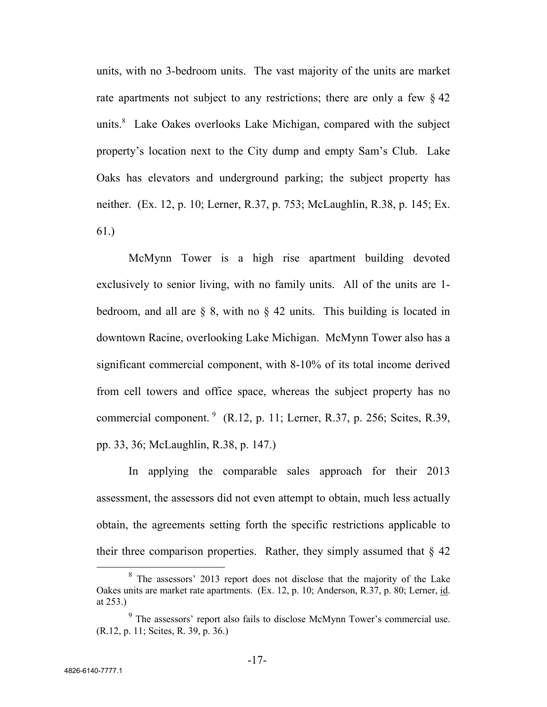units, with no 3-bedroom units. The vast majority of the units are market rate apartments not subject to any restrictions; there are only a few  $\S$  42 units.<sup>8</sup> Lake Oakes overlooks Lake Michigan, compared with the subject property's location next to the City dump and empty Sam's Club. Lake Oaks has elevators and underground parking; the subject property has neither. (Ex. 12, p. 10; Lerner, R.37, p. 753; McLaughlin, R.38, p. 145; Ex. 61.)

McMynn Tower is a high rise apartment building devoted exclusively to senior living, with no family units. All of the units are 1 bedroom, and all are  $\S$  8, with no  $\S$  42 units. This building is located in downtown Racine, overlooking Lake Michigan. McMynn Tower also has a significant commercial component, with 8-10% of its total income derived from cell towers and office space, whereas the subject property has no commercial component.  $9$  (R.12, p. 11; Lerner, R.37, p. 256; Scites, R.39, pp. 33, 36; McLaughlin, R.38, p. 147.)

In applying the comparable sales approach for their 2013 assessment, the assessors did not even attempt to obtain, much less actually obtain, the agreements setting forth the specific restrictions applicable to their three comparison properties. Rather, they simply assumed that  $\S$  42

<sup>&</sup>lt;sup>8</sup> The assessors' 2013 report does not disclose that the majority of the Lake Oakes units are market rate apartments. (Ex. 12, p. 10; Anderson, R.37, p. 80; Lerner, id. at 253.)

<sup>&</sup>lt;sup>9</sup> The assessors' report also fails to disclose McMynn Tower's commercial use. (R.12, p. 11; Scites, R. 39, p. 36.)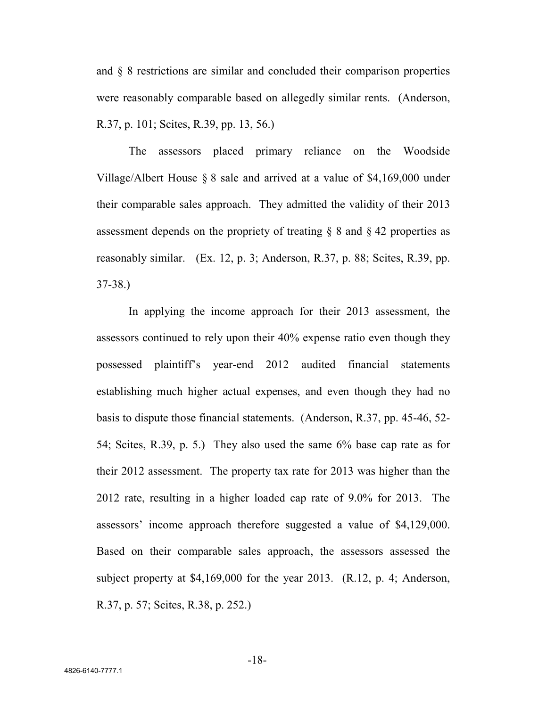and § 8 restrictions are similar and concluded their comparison properties were reasonably comparable based on allegedly similar rents. (Anderson, R.37, p. 101; Scites, R.39, pp. 13, 56.)

The assessors placed primary reliance on the Woodside Village/Albert House § 8 sale and arrived at a value of \$4,169,000 under their comparable sales approach. They admitted the validity of their 2013 assessment depends on the propriety of treating  $\S$  8 and  $\S$  42 properties as reasonably similar. (Ex. 12, p. 3; Anderson, R.37, p. 88; Scites, R.39, pp. 37-38.)

In applying the income approach for their 2013 assessment, the assessors continued to rely upon their 40% expense ratio even though they possessed plaintiff's year-end 2012 audited financial statements establishing much higher actual expenses, and even though they had no basis to dispute those financial statements. (Anderson, R.37, pp. 45-46, 52- 54; Scites, R.39, p. 5.) They also used the same 6% base cap rate as for their 2012 assessment. The property tax rate for 2013 was higher than the 2012 rate, resulting in a higher loaded cap rate of 9.0% for 2013. The assessors' income approach therefore suggested a value of \$4,129,000. Based on their comparable sales approach, the assessors assessed the subject property at \$4,169,000 for the year 2013. (R.12, p. 4; Anderson, R.37, p. 57; Scites, R.38, p. 252.)

-18-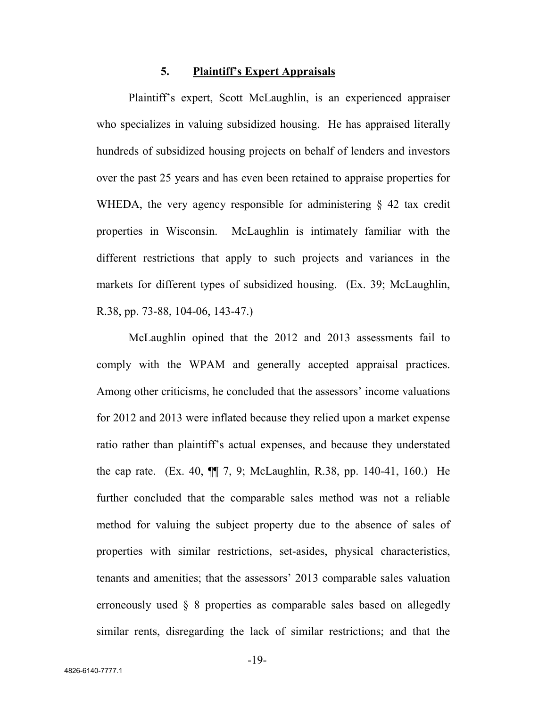#### **5. Plaintiff's Expert Appraisals**

Plaintiff's expert, Scott McLaughlin, is an experienced appraiser who specializes in valuing subsidized housing. He has appraised literally hundreds of subsidized housing projects on behalf of lenders and investors over the past 25 years and has even been retained to appraise properties for WHEDA, the very agency responsible for administering  $\S$  42 tax credit properties in Wisconsin. McLaughlin is intimately familiar with the different restrictions that apply to such projects and variances in the markets for different types of subsidized housing. (Ex. 39; McLaughlin, R.38, pp. 73-88, 104-06, 143-47.)

McLaughlin opined that the 2012 and 2013 assessments fail to comply with the WPAM and generally accepted appraisal practices. Among other criticisms, he concluded that the assessors' income valuations for 2012 and 2013 were inflated because they relied upon a market expense ratio rather than plaintiff's actual expenses, and because they understated the cap rate. (Ex. 40, ¶¶ 7, 9; McLaughlin, R.38, pp. 140-41, 160.) He further concluded that the comparable sales method was not a reliable method for valuing the subject property due to the absence of sales of properties with similar restrictions, set-asides, physical characteristics, tenants and amenities; that the assessors' 2013 comparable sales valuation erroneously used § 8 properties as comparable sales based on allegedly similar rents, disregarding the lack of similar restrictions; and that the

-19-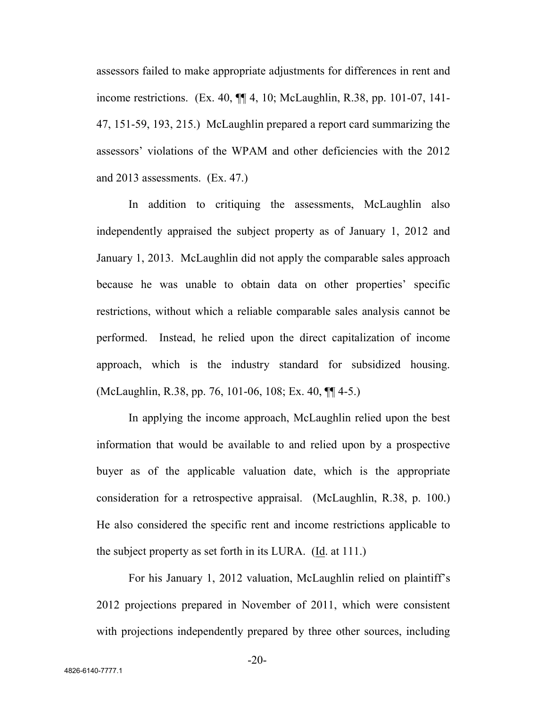assessors failed to make appropriate adjustments for differences in rent and income restrictions. (Ex. 40, ¶¶ 4, 10; McLaughlin, R.38, pp. 101-07, 141- 47, 151-59, 193, 215.) McLaughlin prepared a report card summarizing the assessors' violations of the WPAM and other deficiencies with the 2012 and 2013 assessments. (Ex. 47.)

In addition to critiquing the assessments, McLaughlin also independently appraised the subject property as of January 1, 2012 and January 1, 2013. McLaughlin did not apply the comparable sales approach because he was unable to obtain data on other properties' specific restrictions, without which a reliable comparable sales analysis cannot be performed. Instead, he relied upon the direct capitalization of income approach, which is the industry standard for subsidized housing. (McLaughlin, R.38, pp. 76, 101-06, 108; Ex. 40, ¶¶ 4-5.)

In applying the income approach, McLaughlin relied upon the best information that would be available to and relied upon by a prospective buyer as of the applicable valuation date, which is the appropriate consideration for a retrospective appraisal. (McLaughlin, R.38, p. 100.) He also considered the specific rent and income restrictions applicable to the subject property as set forth in its LURA. (Id. at 111.)

For his January 1, 2012 valuation, McLaughlin relied on plaintiff's 2012 projections prepared in November of 2011, which were consistent with projections independently prepared by three other sources, including

-20-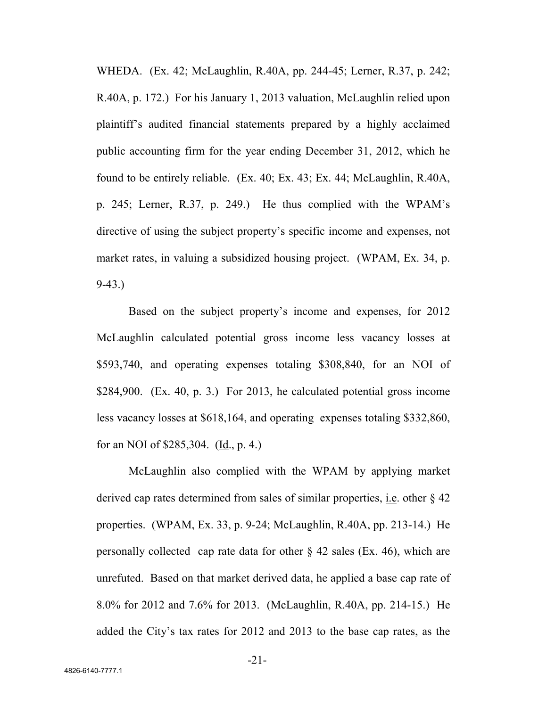WHEDA. (Ex. 42; McLaughlin, R.40A, pp. 244-45; Lerner, R.37, p. 242; R.40A, p. 172.) For his January 1, 2013 valuation, McLaughlin relied upon plaintiff's audited financial statements prepared by a highly acclaimed public accounting firm for the year ending December 31, 2012, which he found to be entirely reliable. (Ex. 40; Ex. 43; Ex. 44; McLaughlin, R.40A, p. 245; Lerner, R.37, p. 249.) He thus complied with the WPAM's directive of using the subject property's specific income and expenses, not market rates, in valuing a subsidized housing project. (WPAM, Ex. 34, p. 9-43.)

Based on the subject property's income and expenses, for 2012 McLaughlin calculated potential gross income less vacancy losses at \$593,740, and operating expenses totaling \$308,840, for an NOI of \$284,900. (Ex. 40, p. 3.) For 2013, he calculated potential gross income less vacancy losses at \$618,164, and operating expenses totaling \$332,860, for an NOI of \$285,304. (Id., p. 4.)

McLaughlin also complied with the WPAM by applying market derived cap rates determined from sales of similar properties, i.e. other § 42 properties. (WPAM, Ex. 33, p. 9-24; McLaughlin, R.40A, pp. 213-14.) He personally collected cap rate data for other  $\S$  42 sales (Ex. 46), which are unrefuted. Based on that market derived data, he applied a base cap rate of 8.0% for 2012 and 7.6% for 2013. (McLaughlin, R.40A, pp. 214-15.) He added the City's tax rates for 2012 and 2013 to the base cap rates, as the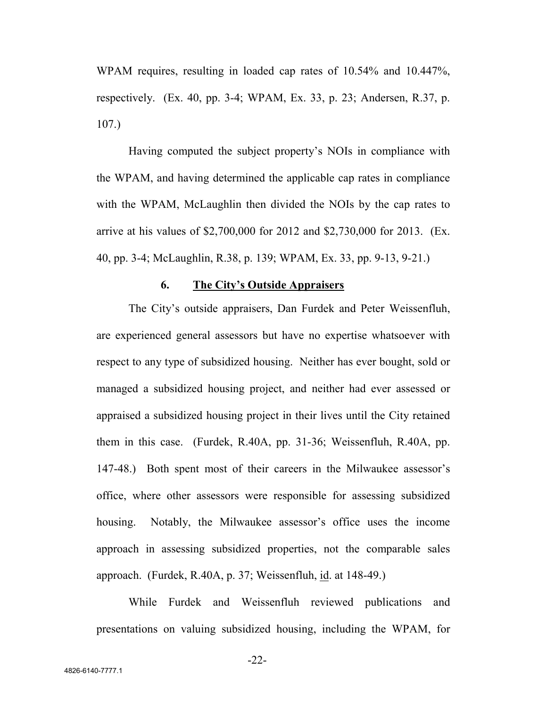WPAM requires, resulting in loaded cap rates of 10.54% and 10.447%, respectively. (Ex. 40, pp. 3-4; WPAM, Ex. 33, p. 23; Andersen, R.37, p. 107.)

Having computed the subject property's NOIs in compliance with the WPAM, and having determined the applicable cap rates in compliance with the WPAM, McLaughlin then divided the NOIs by the cap rates to arrive at his values of \$2,700,000 for 2012 and \$2,730,000 for 2013. (Ex. 40, pp. 3-4; McLaughlin, R.38, p. 139; WPAM, Ex. 33, pp. 9-13, 9-21.)

#### **6. The City's Outside Appraisers**

The City's outside appraisers, Dan Furdek and Peter Weissenfluh, are experienced general assessors but have no expertise whatsoever with respect to any type of subsidized housing. Neither has ever bought, sold or managed a subsidized housing project, and neither had ever assessed or appraised a subsidized housing project in their lives until the City retained them in this case. (Furdek, R.40A, pp. 31-36; Weissenfluh, R.40A, pp. 147-48.) Both spent most of their careers in the Milwaukee assessor's office, where other assessors were responsible for assessing subsidized housing. Notably, the Milwaukee assessor's office uses the income approach in assessing subsidized properties, not the comparable sales approach. (Furdek, R.40A, p. 37; Weissenfluh, id. at 148-49.)

While Furdek and Weissenfluh reviewed publications and presentations on valuing subsidized housing, including the WPAM, for

-22-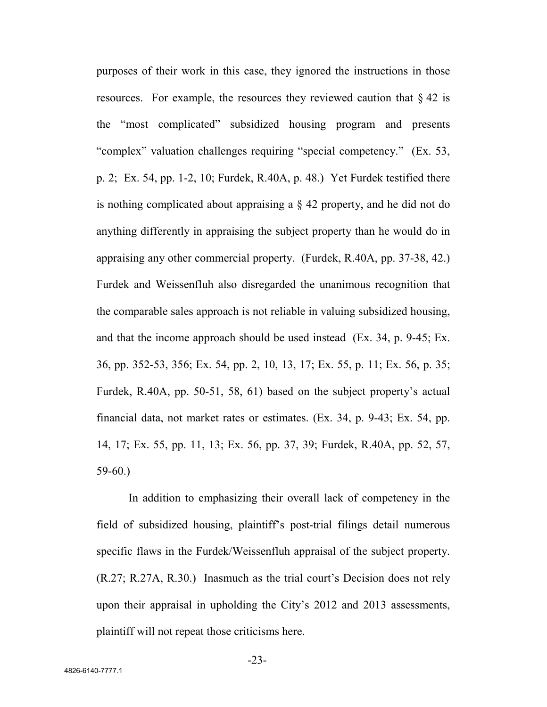purposes of their work in this case, they ignored the instructions in those resources. For example, the resources they reviewed caution that  $\S 42$  is the "most complicated" subsidized housing program and presents "complex" valuation challenges requiring "special competency." (Ex. 53, p. 2; Ex. 54, pp. 1-2, 10; Furdek, R.40A, p. 48.) Yet Furdek testified there is nothing complicated about appraising a § 42 property, and he did not do anything differently in appraising the subject property than he would do in appraising any other commercial property. (Furdek, R.40A, pp. 37-38, 42.) Furdek and Weissenfluh also disregarded the unanimous recognition that the comparable sales approach is not reliable in valuing subsidized housing, and that the income approach should be used instead (Ex. 34, p. 9-45; Ex. 36, pp. 352-53, 356; Ex. 54, pp. 2, 10, 13, 17; Ex. 55, p. 11; Ex. 56, p. 35; Furdek, R.40A, pp. 50-51, 58, 61) based on the subject property's actual financial data, not market rates or estimates. (Ex. 34, p. 9-43; Ex. 54, pp. 14, 17; Ex. 55, pp. 11, 13; Ex. 56, pp. 37, 39; Furdek, R.40A, pp. 52, 57, 59-60.)

In addition to emphasizing their overall lack of competency in the field of subsidized housing, plaintiff's post-trial filings detail numerous specific flaws in the Furdek/Weissenfluh appraisal of the subject property. (R.27; R.27A, R.30.) Inasmuch as the trial court's Decision does not rely upon their appraisal in upholding the City's 2012 and 2013 assessments, plaintiff will not repeat those criticisms here.

-23-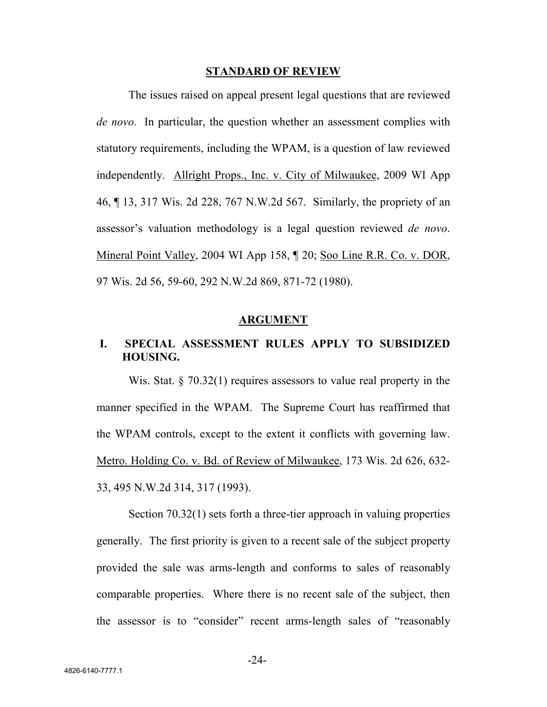#### **STANDARD OF REVIEW**

The issues raised on appeal present legal questions that are reviewed *de novo*. In particular, the question whether an assessment complies with statutory requirements, including the WPAM, is a question of law reviewed independently. Allright Props., Inc. v. City of Milwaukee, 2009 WI App 46, ¶ 13, 317 Wis. 2d 228, 767 N.W.2d 567. Similarly, the propriety of an assessor's valuation methodology is a legal question reviewed *de novo*. Mineral Point Valley, 2004 WI App 158, ¶ 20; Soo Line R.R. Co. v. DOR, 97 Wis. 2d 56, 59-60, 292 N.W.2d 869, 871-72 (1980).

#### **ARGUMENT**

# **I. SPECIAL ASSESSMENT RULES APPLY TO SUBSIDIZED HOUSING.**

Wis. Stat. § 70.32(1) requires assessors to value real property in the manner specified in the WPAM. The Supreme Court has reaffirmed that the WPAM controls, except to the extent it conflicts with governing law. Metro. Holding Co. v. Bd. of Review of Milwaukee, 173 Wis. 2d 626, 632- 33, 495 N.W.2d 314, 317 (1993).

Section 70.32(1) sets forth a three-tier approach in valuing properties generally. The first priority is given to a recent sale of the subject property provided the sale was arms-length and conforms to sales of reasonably comparable properties. Where there is no recent sale of the subject, then the assessor is to "consider" recent arms-length sales of "reasonably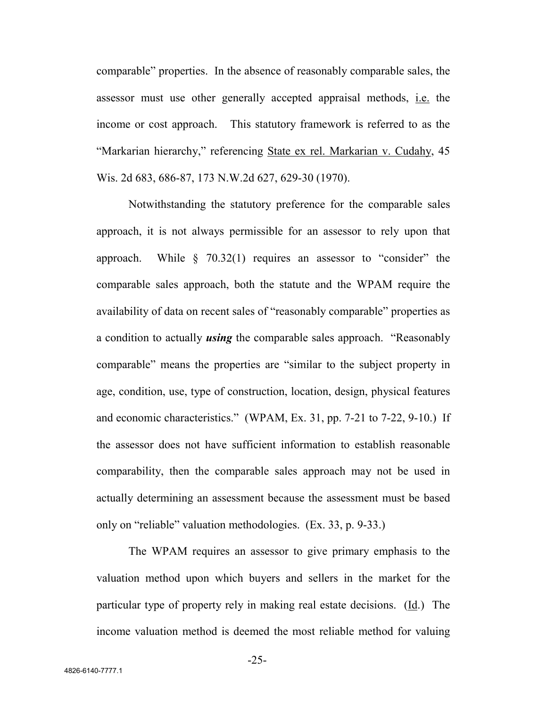comparable" properties. In the absence of reasonably comparable sales, the assessor must use other generally accepted appraisal methods, i.e. the income or cost approach. This statutory framework is referred to as the "Markarian hierarchy," referencing State ex rel. Markarian v. Cudahy, 45 Wis. 2d 683, 686-87, 173 N.W.2d 627, 629-30 (1970).

Notwithstanding the statutory preference for the comparable sales approach, it is not always permissible for an assessor to rely upon that approach. While  $\S$  70.32(1) requires an assessor to "consider" the comparable sales approach, both the statute and the WPAM require the availability of data on recent sales of "reasonably comparable" properties as a condition to actually *using* the comparable sales approach. "Reasonably comparable" means the properties are "similar to the subject property in age, condition, use, type of construction, location, design, physical features and economic characteristics." (WPAM, Ex. 31, pp. 7-21 to 7-22, 9-10.) If the assessor does not have sufficient information to establish reasonable comparability, then the comparable sales approach may not be used in actually determining an assessment because the assessment must be based only on "reliable" valuation methodologies. (Ex. 33, p. 9-33.)

The WPAM requires an assessor to give primary emphasis to the valuation method upon which buyers and sellers in the market for the particular type of property rely in making real estate decisions. (Id.) The income valuation method is deemed the most reliable method for valuing

-25-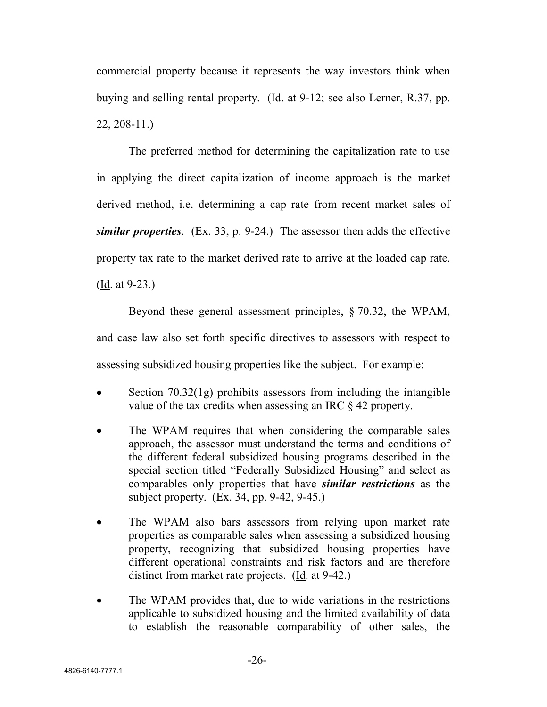commercial property because it represents the way investors think when buying and selling rental property. (Id. at 9-12; see also Lerner, R.37, pp. 22, 208-11.)

The preferred method for determining the capitalization rate to use in applying the direct capitalization of income approach is the market derived method, i.e. determining a cap rate from recent market sales of *similar properties*. (Ex. 33, p. 9-24.) The assessor then adds the effective property tax rate to the market derived rate to arrive at the loaded cap rate. (Id. at 9-23.)

Beyond these general assessment principles, § 70.32, the WPAM, and case law also set forth specific directives to assessors with respect to assessing subsidized housing properties like the subject. For example:

- Section 70.32(1g) prohibits assessors from including the intangible value of the tax credits when assessing an IRC § 42 property.
- The WPAM requires that when considering the comparable sales approach, the assessor must understand the terms and conditions of the different federal subsidized housing programs described in the special section titled "Federally Subsidized Housing" and select as comparables only properties that have *similar restrictions* as the subject property. (Ex. 34, pp. 9-42, 9-45.)
- The WPAM also bars assessors from relying upon market rate properties as comparable sales when assessing a subsidized housing property, recognizing that subsidized housing properties have different operational constraints and risk factors and are therefore distinct from market rate projects. (Id. at 9-42.)
- The WPAM provides that, due to wide variations in the restrictions applicable to subsidized housing and the limited availability of data to establish the reasonable comparability of other sales, the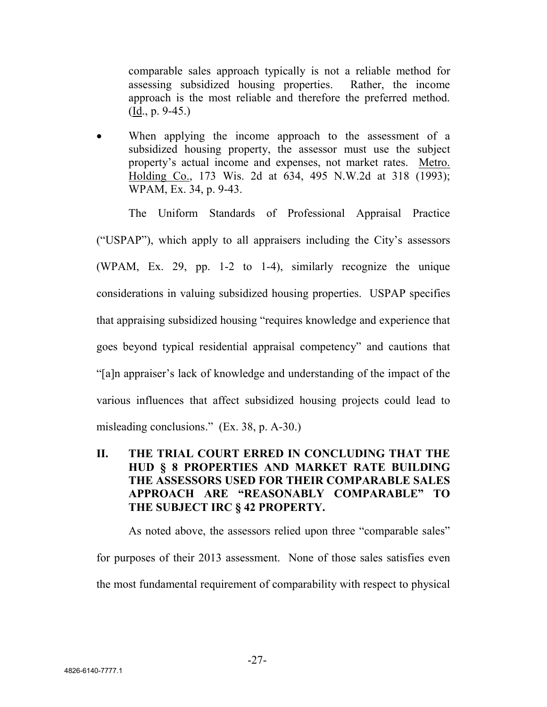comparable sales approach typically is not a reliable method for assessing subsidized housing properties. Rather, the income approach is the most reliable and therefore the preferred method.  $(\underline{Id}., p. 9-45.)$ 

 When applying the income approach to the assessment of a subsidized housing property, the assessor must use the subject property's actual income and expenses, not market rates. Metro. Holding Co., 173 Wis. 2d at 634, 495 N.W.2d at 318 (1993); WPAM, Ex. 34, p. 9-43.

The Uniform Standards of Professional Appraisal Practice ("USPAP"), which apply to all appraisers including the City's assessors (WPAM, Ex. 29, pp. 1-2 to 1-4), similarly recognize the unique considerations in valuing subsidized housing properties. USPAP specifies that appraising subsidized housing "requires knowledge and experience that goes beyond typical residential appraisal competency" and cautions that "[a]n appraiser's lack of knowledge and understanding of the impact of the various influences that affect subsidized housing projects could lead to misleading conclusions." (Ex. 38, p. A-30.)

# **II. THE TRIAL COURT ERRED IN CONCLUDING THAT THE HUD § 8 PROPERTIES AND MARKET RATE BUILDING THE ASSESSORS USED FOR THEIR COMPARABLE SALES APPROACH ARE "REASONABLY COMPARABLE" TO THE SUBJECT IRC § 42 PROPERTY.**

As noted above, the assessors relied upon three "comparable sales" for purposes of their 2013 assessment. None of those sales satisfies even the most fundamental requirement of comparability with respect to physical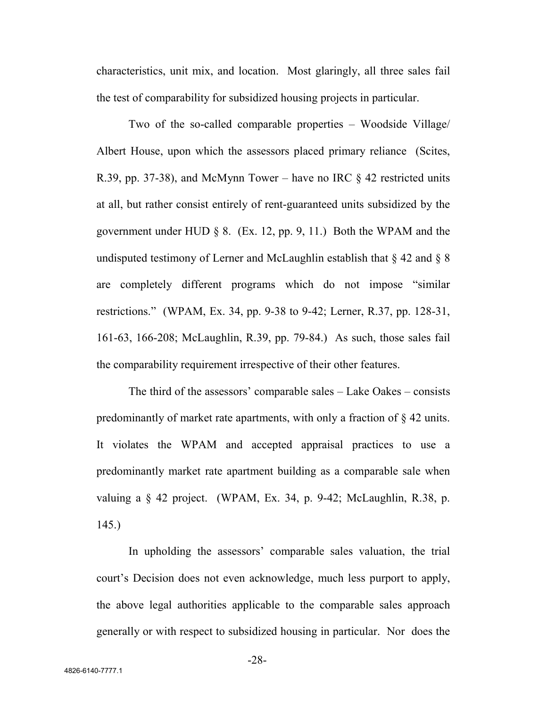characteristics, unit mix, and location. Most glaringly, all three sales fail the test of comparability for subsidized housing projects in particular.

Two of the so-called comparable properties – Woodside Village/ Albert House, upon which the assessors placed primary reliance (Scites, R.39, pp. 37-38), and McMynn Tower – have no IRC  $\&$  42 restricted units at all, but rather consist entirely of rent-guaranteed units subsidized by the government under HUD  $\S 8$ . (Ex. 12, pp. 9, 11.) Both the WPAM and the undisputed testimony of Lerner and McLaughlin establish that  $\S 42$  and  $\S 8$ are completely different programs which do not impose "similar restrictions." (WPAM, Ex. 34, pp. 9-38 to 9-42; Lerner, R.37, pp. 128-31, 161-63, 166-208; McLaughlin, R.39, pp. 79-84.) As such, those sales fail the comparability requirement irrespective of their other features.

The third of the assessors' comparable sales – Lake Oakes – consists predominantly of market rate apartments, with only a fraction of § 42 units. It violates the WPAM and accepted appraisal practices to use a predominantly market rate apartment building as a comparable sale when valuing a § 42 project. (WPAM, Ex. 34, p. 9-42; McLaughlin, R.38, p. 145.)

In upholding the assessors' comparable sales valuation, the trial court's Decision does not even acknowledge, much less purport to apply, the above legal authorities applicable to the comparable sales approach generally or with respect to subsidized housing in particular. Nor does the

-28-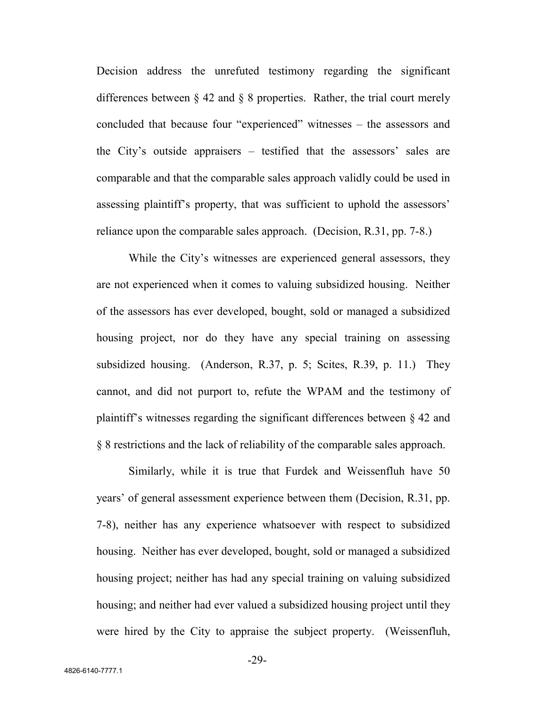Decision address the unrefuted testimony regarding the significant differences between  $\S$  42 and  $\S$  8 properties. Rather, the trial court merely concluded that because four "experienced" witnesses – the assessors and the City's outside appraisers – testified that the assessors' sales are comparable and that the comparable sales approach validly could be used in assessing plaintiff's property, that was sufficient to uphold the assessors' reliance upon the comparable sales approach. (Decision, R.31, pp. 7-8.)

While the City's witnesses are experienced general assessors, they are not experienced when it comes to valuing subsidized housing. Neither of the assessors has ever developed, bought, sold or managed a subsidized housing project, nor do they have any special training on assessing subsidized housing. (Anderson, R.37, p. 5; Scites, R.39, p. 11.) They cannot, and did not purport to, refute the WPAM and the testimony of plaintiff's witnesses regarding the significant differences between § 42 and § 8 restrictions and the lack of reliability of the comparable sales approach.

Similarly, while it is true that Furdek and Weissenfluh have 50 years' of general assessment experience between them (Decision, R.31, pp. 7-8), neither has any experience whatsoever with respect to subsidized housing. Neither has ever developed, bought, sold or managed a subsidized housing project; neither has had any special training on valuing subsidized housing; and neither had ever valued a subsidized housing project until they were hired by the City to appraise the subject property. (Weissenfluh,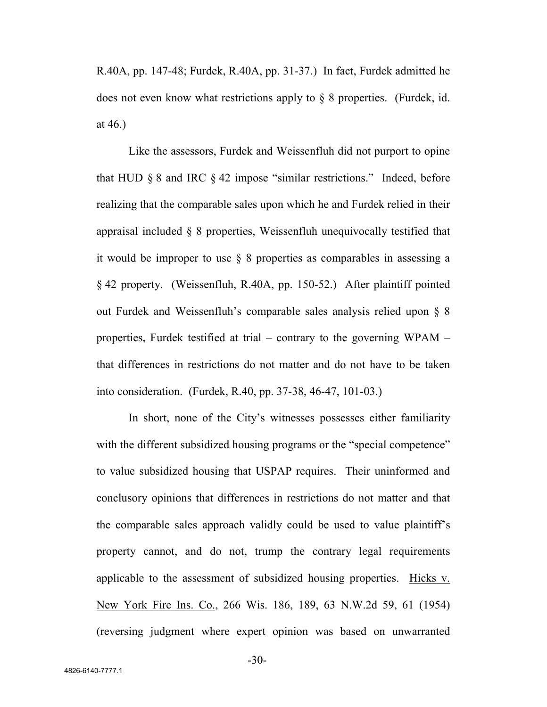R.40A, pp. 147-48; Furdek, R.40A, pp. 31-37.) In fact, Furdek admitted he does not even know what restrictions apply to  $\S$  8 properties. (Furdek, id. at 46.)

Like the assessors, Furdek and Weissenfluh did not purport to opine that HUD § 8 and IRC § 42 impose "similar restrictions." Indeed, before realizing that the comparable sales upon which he and Furdek relied in their appraisal included § 8 properties, Weissenfluh unequivocally testified that it would be improper to use § 8 properties as comparables in assessing a § 42 property. (Weissenfluh, R.40A, pp. 150-52.) After plaintiff pointed out Furdek and Weissenfluh's comparable sales analysis relied upon § 8 properties, Furdek testified at trial – contrary to the governing WPAM – that differences in restrictions do not matter and do not have to be taken into consideration. (Furdek, R.40, pp. 37-38, 46-47, 101-03.)

In short, none of the City's witnesses possesses either familiarity with the different subsidized housing programs or the "special competence" to value subsidized housing that USPAP requires. Their uninformed and conclusory opinions that differences in restrictions do not matter and that the comparable sales approach validly could be used to value plaintiff's property cannot, and do not, trump the contrary legal requirements applicable to the assessment of subsidized housing properties. Hicks v. New York Fire Ins. Co., 266 Wis. 186, 189, 63 N.W.2d 59, 61 (1954) (reversing judgment where expert opinion was based on unwarranted

-30-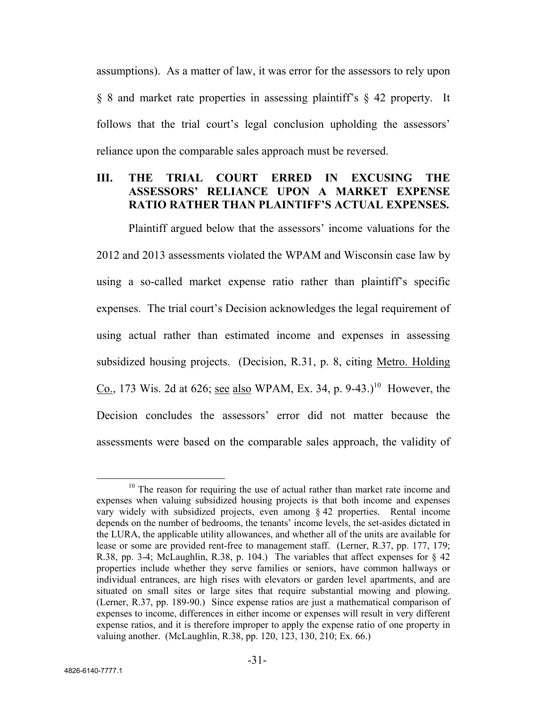assumptions). As a matter of law, it was error for the assessors to rely upon § 8 and market rate properties in assessing plaintiff's § 42 property. It follows that the trial court's legal conclusion upholding the assessors' reliance upon the comparable sales approach must be reversed.

# **III. THE TRIAL COURT ERRED IN EXCUSING THE ASSESSORS' RELIANCE UPON A MARKET EXPENSE RATIO RATHER THAN PLAINTIFF'S ACTUAL EXPENSES.**

Plaintiff argued below that the assessors' income valuations for the 2012 and 2013 assessments violated the WPAM and Wisconsin case law by using a so-called market expense ratio rather than plaintiff's specific expenses. The trial court's Decision acknowledges the legal requirement of using actual rather than estimated income and expenses in assessing subsidized housing projects. (Decision, R.31, p. 8, citing Metro. Holding Co., 173 Wis. 2d at 626; see also WPAM, Ex. 34, p. 9-43.)<sup>10</sup> However, the Decision concludes the assessors' error did not matter because the assessments were based on the comparable sales approach, the validity of

<sup>&</sup>lt;sup>10</sup> The reason for requiring the use of actual rather than market rate income and expenses when valuing subsidized housing projects is that both income and expenses vary widely with subsidized projects, even among § 42 properties. Rental income depends on the number of bedrooms, the tenants' income levels, the set-asides dictated in the LURA, the applicable utility allowances, and whether all of the units are available for lease or some are provided rent-free to management staff. (Lerner, R.37, pp. 177, 179; R.38, pp. 3-4; McLaughlin, R.38, p. 104.) The variables that affect expenses for § 42 properties include whether they serve families or seniors, have common hallways or individual entrances, are high rises with elevators or garden level apartments, and are situated on small sites or large sites that require substantial mowing and plowing. (Lerner, R.37, pp. 189-90.) Since expense ratios are just a mathematical comparison of expenses to income, differences in either income or expenses will result in very different expense ratios, and it is therefore improper to apply the expense ratio of one property in valuing another. (McLaughlin, R.38, pp. 120, 123, 130, 210; Ex. 66.)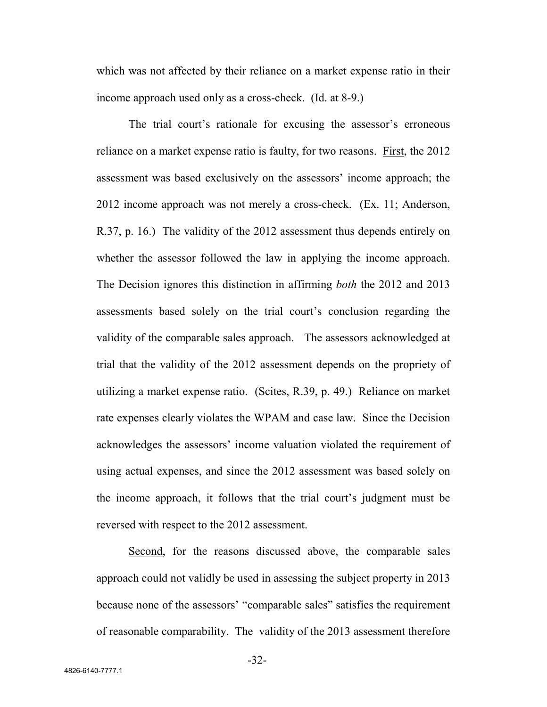which was not affected by their reliance on a market expense ratio in their income approach used only as a cross-check. (Id. at 8-9.)

The trial court's rationale for excusing the assessor's erroneous reliance on a market expense ratio is faulty, for two reasons. First, the 2012 assessment was based exclusively on the assessors' income approach; the 2012 income approach was not merely a cross-check. (Ex. 11; Anderson, R.37, p. 16.) The validity of the 2012 assessment thus depends entirely on whether the assessor followed the law in applying the income approach. The Decision ignores this distinction in affirming *both* the 2012 and 2013 assessments based solely on the trial court's conclusion regarding the validity of the comparable sales approach. The assessors acknowledged at trial that the validity of the 2012 assessment depends on the propriety of utilizing a market expense ratio. (Scites, R.39, p. 49.) Reliance on market rate expenses clearly violates the WPAM and case law. Since the Decision acknowledges the assessors' income valuation violated the requirement of using actual expenses, and since the 2012 assessment was based solely on the income approach, it follows that the trial court's judgment must be reversed with respect to the 2012 assessment.

Second, for the reasons discussed above, the comparable sales approach could not validly be used in assessing the subject property in 2013 because none of the assessors' "comparable sales" satisfies the requirement of reasonable comparability. The validity of the 2013 assessment therefore

-32-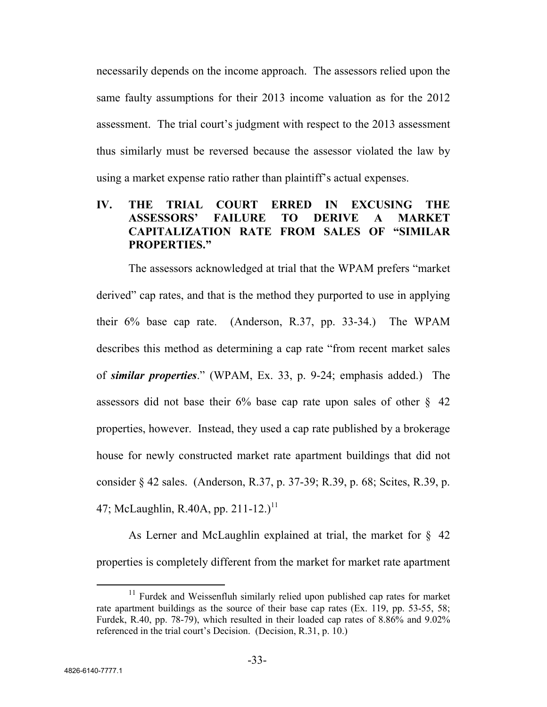necessarily depends on the income approach. The assessors relied upon the same faulty assumptions for their 2013 income valuation as for the 2012 assessment. The trial court's judgment with respect to the 2013 assessment thus similarly must be reversed because the assessor violated the law by using a market expense ratio rather than plaintiff's actual expenses.

### **IV. THE TRIAL COURT ERRED IN EXCUSING THE ASSESSORS' FAILURE TO DERIVE A MARKET CAPITALIZATION RATE FROM SALES OF "SIMILAR PROPERTIES."**

The assessors acknowledged at trial that the WPAM prefers "market derived" cap rates, and that is the method they purported to use in applying their 6% base cap rate. (Anderson, R.37, pp. 33-34.) The WPAM describes this method as determining a cap rate "from recent market sales of *similar properties*." (WPAM, Ex. 33, p. 9-24; emphasis added.) The assessors did not base their  $6\%$  base cap rate upon sales of other  $\S$  42 properties, however. Instead, they used a cap rate published by a brokerage house for newly constructed market rate apartment buildings that did not consider § 42 sales. (Anderson, R.37, p. 37-39; R.39, p. 68; Scites, R.39, p. 47; McLaughlin, R.40A, pp.  $211-12$ .)<sup>11</sup>

As Lerner and McLaughlin explained at trial, the market for  $\S$  42 properties is completely different from the market for market rate apartment

 $11$  Furdek and Weissenfluh similarly relied upon published cap rates for market rate apartment buildings as the source of their base cap rates (Ex. 119, pp. 53-55, 58; Furdek, R.40, pp. 78-79), which resulted in their loaded cap rates of 8.86% and 9.02% referenced in the trial court's Decision. (Decision, R.31, p. 10.)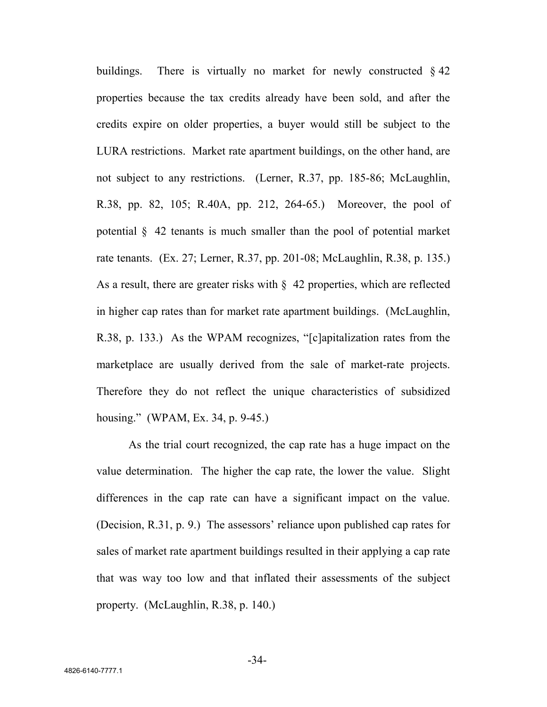buildings. There is virtually no market for newly constructed §42 properties because the tax credits already have been sold, and after the credits expire on older properties, a buyer would still be subject to the LURA restrictions. Market rate apartment buildings, on the other hand, are not subject to any restrictions. (Lerner, R.37, pp. 185-86; McLaughlin, R.38, pp. 82, 105; R.40A, pp. 212, 264-65.) Moreover, the pool of potential § 42 tenants is much smaller than the pool of potential market rate tenants. (Ex. 27; Lerner, R.37, pp. 201-08; McLaughlin, R.38, p. 135.) As a result, there are greater risks with § 42 properties, which are reflected in higher cap rates than for market rate apartment buildings. (McLaughlin, R.38, p. 133.) As the WPAM recognizes, "[c]apitalization rates from the marketplace are usually derived from the sale of market-rate projects. Therefore they do not reflect the unique characteristics of subsidized housing." (WPAM, Ex. 34, p. 9-45.)

As the trial court recognized, the cap rate has a huge impact on the value determination. The higher the cap rate, the lower the value. Slight differences in the cap rate can have a significant impact on the value. (Decision, R.31, p. 9.) The assessors' reliance upon published cap rates for sales of market rate apartment buildings resulted in their applying a cap rate that was way too low and that inflated their assessments of the subject property. (McLaughlin, R.38, p. 140.)

-34-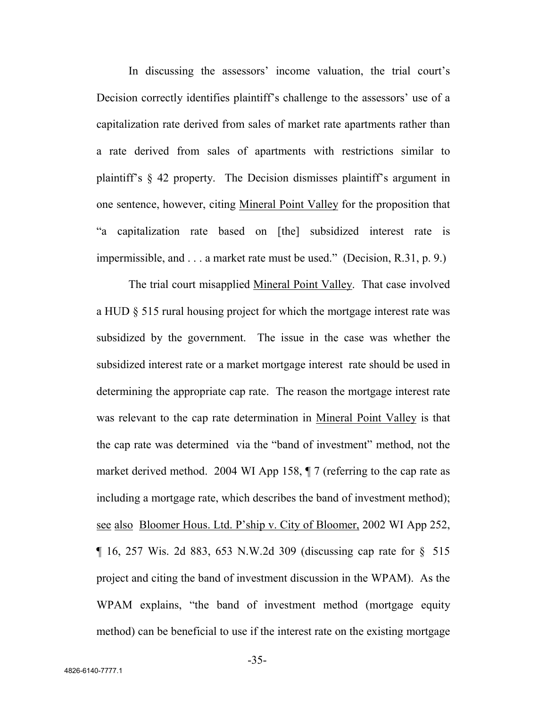In discussing the assessors' income valuation, the trial court's Decision correctly identifies plaintiff's challenge to the assessors' use of a capitalization rate derived from sales of market rate apartments rather than a rate derived from sales of apartments with restrictions similar to plaintiff's § 42 property. The Decision dismisses plaintiff's argument in one sentence, however, citing Mineral Point Valley for the proposition that "a capitalization rate based on [the] subsidized interest rate is impermissible, and . . . a market rate must be used." (Decision, R.31, p. 9.)

The trial court misapplied Mineral Point Valley. That case involved a HUD § 515 rural housing project for which the mortgage interest rate was subsidized by the government. The issue in the case was whether the subsidized interest rate or a market mortgage interest rate should be used in determining the appropriate cap rate. The reason the mortgage interest rate was relevant to the cap rate determination in Mineral Point Valley is that the cap rate was determined via the "band of investment" method, not the market derived method. 2004 WI App 158, ¶ 7 (referring to the cap rate as including a mortgage rate, which describes the band of investment method); see also Bloomer Hous. Ltd. P'ship v. City of Bloomer, 2002 WI App 252, ¶ 16, 257 Wis. 2d 883, 653 N.W.2d 309 (discussing cap rate for § 515 project and citing the band of investment discussion in the WPAM). As the WPAM explains, "the band of investment method (mortgage equity method) can be beneficial to use if the interest rate on the existing mortgage

-35-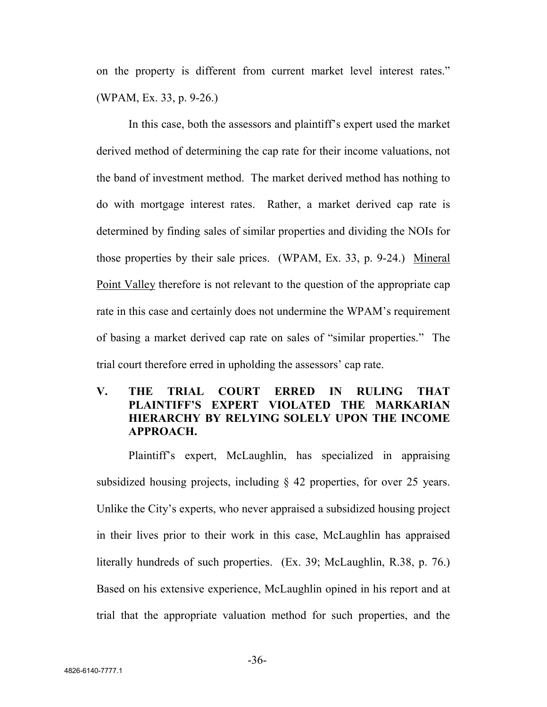on the property is different from current market level interest rates." (WPAM, Ex. 33, p. 9-26.)

In this case, both the assessors and plaintiff's expert used the market derived method of determining the cap rate for their income valuations, not the band of investment method. The market derived method has nothing to do with mortgage interest rates. Rather, a market derived cap rate is determined by finding sales of similar properties and dividing the NOIs for those properties by their sale prices. (WPAM, Ex. 33, p. 9-24.) Mineral Point Valley therefore is not relevant to the question of the appropriate cap rate in this case and certainly does not undermine the WPAM's requirement of basing a market derived cap rate on sales of "similar properties." The trial court therefore erred in upholding the assessors' cap rate.

### **V. THE TRIAL COURT ERRED IN RULING THAT PLAINTIFF'S EXPERT VIOLATED THE MARKARIAN HIERARCHY BY RELYING SOLELY UPON THE INCOME APPROACH.**

Plaintiff's expert, McLaughlin, has specialized in appraising subsidized housing projects, including § 42 properties, for over 25 years. Unlike the City's experts, who never appraised a subsidized housing project in their lives prior to their work in this case, McLaughlin has appraised literally hundreds of such properties. (Ex. 39; McLaughlin, R.38, p. 76.) Based on his extensive experience, McLaughlin opined in his report and at trial that the appropriate valuation method for such properties, and the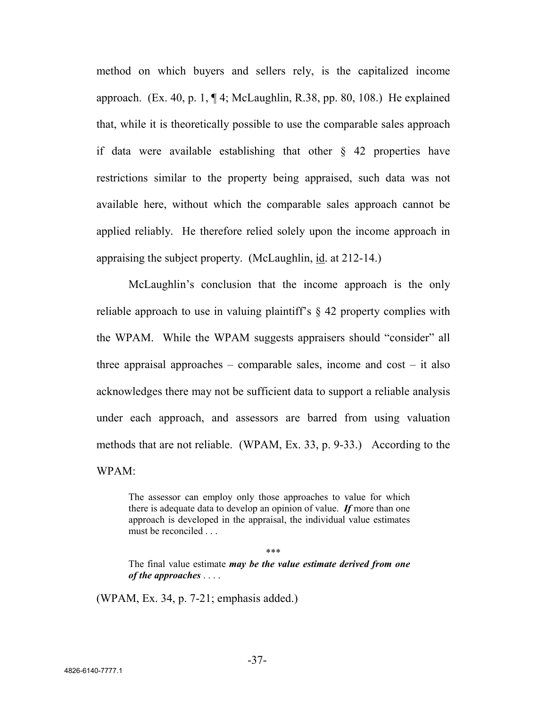method on which buyers and sellers rely, is the capitalized income approach. (Ex. 40, p. 1,  $\P$  4; McLaughlin, R.38, pp. 80, 108.) He explained that, while it is theoretically possible to use the comparable sales approach if data were available establishing that other  $\S$  42 properties have restrictions similar to the property being appraised, such data was not available here, without which the comparable sales approach cannot be applied reliably. He therefore relied solely upon the income approach in appraising the subject property. (McLaughlin, id. at 212-14.)

McLaughlin's conclusion that the income approach is the only reliable approach to use in valuing plaintiff's § 42 property complies with the WPAM. While the WPAM suggests appraisers should "consider" all three appraisal approaches – comparable sales, income and  $cost - it$  also acknowledges there may not be sufficient data to support a reliable analysis under each approach, and assessors are barred from using valuation methods that are not reliable. (WPAM, Ex. 33, p. 9-33.) According to the WPAM:

The assessor can employ only those approaches to value for which there is adequate data to develop an opinion of value. *If* more than one approach is developed in the appraisal, the individual value estimates must be reconciled . . .

\*\*\* The final value estimate *may be the value estimate derived from one of the approaches* . . . .

(WPAM, Ex. 34, p. 7-21; emphasis added.)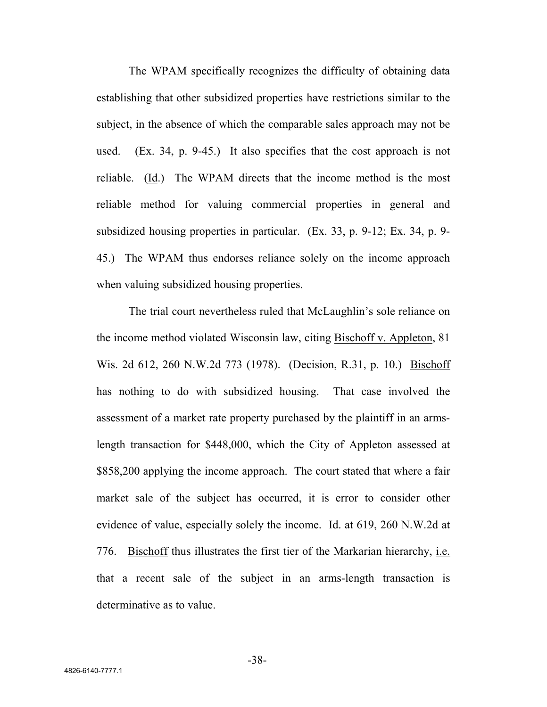The WPAM specifically recognizes the difficulty of obtaining data establishing that other subsidized properties have restrictions similar to the subject, in the absence of which the comparable sales approach may not be used. (Ex. 34, p. 9-45.) It also specifies that the cost approach is not reliable. (Id.) The WPAM directs that the income method is the most reliable method for valuing commercial properties in general and subsidized housing properties in particular. (Ex. 33, p. 9-12; Ex. 34, p. 9- 45.) The WPAM thus endorses reliance solely on the income approach when valuing subsidized housing properties.

The trial court nevertheless ruled that McLaughlin's sole reliance on the income method violated Wisconsin law, citing Bischoff v. Appleton, 81 Wis. 2d 612, 260 N.W.2d 773 (1978). (Decision, R.31, p. 10.) Bischoff has nothing to do with subsidized housing. That case involved the assessment of a market rate property purchased by the plaintiff in an armslength transaction for \$448,000, which the City of Appleton assessed at \$858,200 applying the income approach. The court stated that where a fair market sale of the subject has occurred, it is error to consider other evidence of value, especially solely the income. Id. at 619, 260 N.W.2d at 776. Bischoff thus illustrates the first tier of the Markarian hierarchy, i.e. that a recent sale of the subject in an arms-length transaction is determinative as to value.

-38-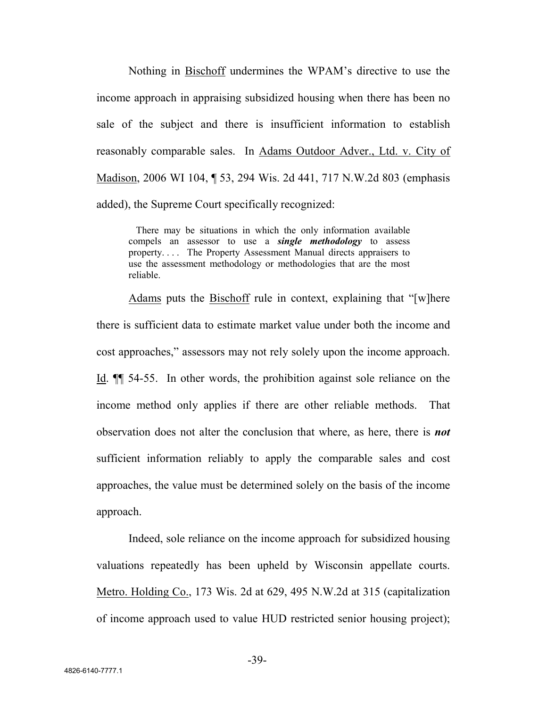Nothing in Bischoff undermines the WPAM's directive to use the income approach in appraising subsidized housing when there has been no sale of the subject and there is insufficient information to establish reasonably comparable sales. In Adams Outdoor Adver., Ltd. v. City of Madison, 2006 WI 104, ¶ 53, 294 Wis. 2d 441, 717 N.W.2d 803 (emphasis added), the Supreme Court specifically recognized:

There may be situations in which the only information available compels an assessor to use a *single methodology* to assess property. . . . The Property Assessment Manual directs appraisers to use the assessment methodology or methodologies that are the most reliable.

Adams puts the Bischoff rule in context, explaining that "[w]here there is sufficient data to estimate market value under both the income and cost approaches," assessors may not rely solely upon the income approach. Id. ¶¶ 54-55. In other words, the prohibition against sole reliance on the income method only applies if there are other reliable methods. That observation does not alter the conclusion that where, as here, there is *not* sufficient information reliably to apply the comparable sales and cost approaches, the value must be determined solely on the basis of the income approach.

Indeed, sole reliance on the income approach for subsidized housing valuations repeatedly has been upheld by Wisconsin appellate courts. Metro. Holding Co., 173 Wis. 2d at 629, 495 N.W.2d at 315 (capitalization of income approach used to value HUD restricted senior housing project);

-39-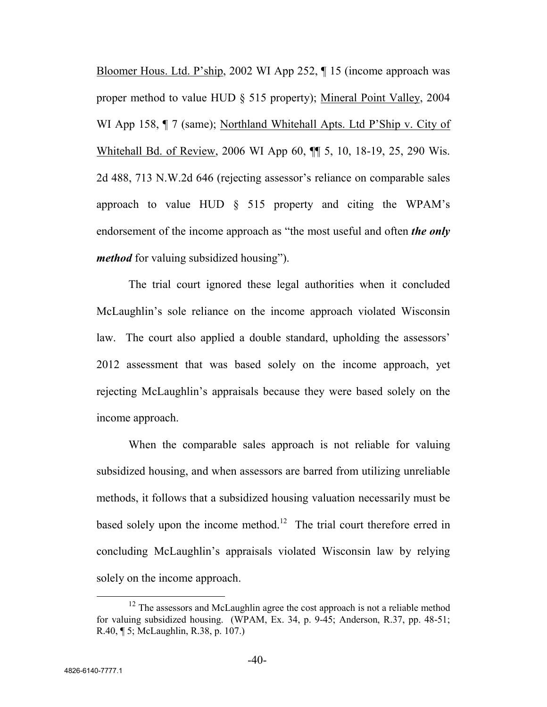Bloomer Hous. Ltd. P'ship, 2002 WI App 252, ¶ 15 (income approach was proper method to value HUD § 515 property); Mineral Point Valley, 2004 WI App 158,  $\P$  7 (same); Northland Whitehall Apts. Ltd P'Ship v. City of Whitehall Bd. of Review, 2006 WI App 60,  $\P$  5, 10, 18-19, 25, 290 Wis. 2d 488, 713 N.W.2d 646 (rejecting assessor's reliance on comparable sales approach to value HUD  $\S$  515 property and citing the WPAM's endorsement of the income approach as "the most useful and often *the only method* for valuing subsidized housing").

The trial court ignored these legal authorities when it concluded McLaughlin's sole reliance on the income approach violated Wisconsin law. The court also applied a double standard, upholding the assessors' 2012 assessment that was based solely on the income approach, yet rejecting McLaughlin's appraisals because they were based solely on the income approach.

When the comparable sales approach is not reliable for valuing subsidized housing, and when assessors are barred from utilizing unreliable methods, it follows that a subsidized housing valuation necessarily must be based solely upon the income method.<sup>12</sup> The trial court therefore erred in concluding McLaughlin's appraisals violated Wisconsin law by relying solely on the income approach.

 $12$  The assessors and McLaughlin agree the cost approach is not a reliable method for valuing subsidized housing. (WPAM, Ex. 34, p. 9-45; Anderson, R.37, pp. 48-51; R.40, ¶ 5; McLaughlin, R.38, p. 107.)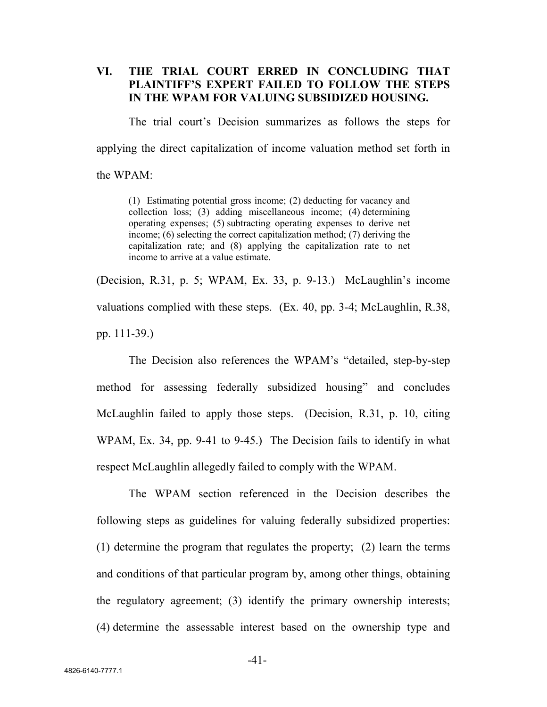### **VI. THE TRIAL COURT ERRED IN CONCLUDING THAT PLAINTIFF'S EXPERT FAILED TO FOLLOW THE STEPS IN THE WPAM FOR VALUING SUBSIDIZED HOUSING.**

The trial court's Decision summarizes as follows the steps for applying the direct capitalization of income valuation method set forth in the WPAM:

(1) Estimating potential gross income; (2) deducting for vacancy and collection loss; (3) adding miscellaneous income; (4) determining operating expenses; (5) subtracting operating expenses to derive net income; (6) selecting the correct capitalization method; (7) deriving the capitalization rate; and (8) applying the capitalization rate to net income to arrive at a value estimate.

(Decision, R.31, p. 5; WPAM, Ex. 33, p. 9-13.) McLaughlin's income valuations complied with these steps. (Ex. 40, pp. 3-4; McLaughlin, R.38, pp. 111-39.)

The Decision also references the WPAM's "detailed, step-by-step method for assessing federally subsidized housing" and concludes McLaughlin failed to apply those steps. (Decision, R.31, p. 10, citing WPAM, Ex. 34, pp. 9-41 to 9-45.) The Decision fails to identify in what respect McLaughlin allegedly failed to comply with the WPAM.

The WPAM section referenced in the Decision describes the following steps as guidelines for valuing federally subsidized properties: (1) determine the program that regulates the property; (2) learn the terms and conditions of that particular program by, among other things, obtaining the regulatory agreement; (3) identify the primary ownership interests; (4) determine the assessable interest based on the ownership type and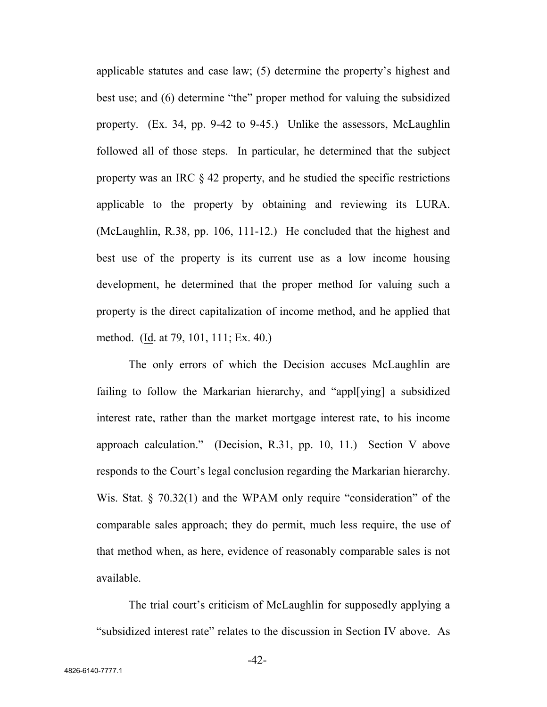applicable statutes and case law; (5) determine the property's highest and best use; and (6) determine "the" proper method for valuing the subsidized property. (Ex. 34, pp. 9-42 to 9-45.) Unlike the assessors, McLaughlin followed all of those steps. In particular, he determined that the subject property was an IRC § 42 property, and he studied the specific restrictions applicable to the property by obtaining and reviewing its LURA. (McLaughlin, R.38, pp. 106, 111-12.) He concluded that the highest and best use of the property is its current use as a low income housing development, he determined that the proper method for valuing such a property is the direct capitalization of income method, and he applied that method. (Id. at 79, 101, 111; Ex. 40.)

The only errors of which the Decision accuses McLaughlin are failing to follow the Markarian hierarchy, and "appl[ying] a subsidized interest rate, rather than the market mortgage interest rate, to his income approach calculation." (Decision, R.31, pp. 10, 11.) Section V above responds to the Court's legal conclusion regarding the Markarian hierarchy. Wis. Stat. § 70.32(1) and the WPAM only require "consideration" of the comparable sales approach; they do permit, much less require, the use of that method when, as here, evidence of reasonably comparable sales is not available.

The trial court's criticism of McLaughlin for supposedly applying a "subsidized interest rate" relates to the discussion in Section IV above. As

 $-42-$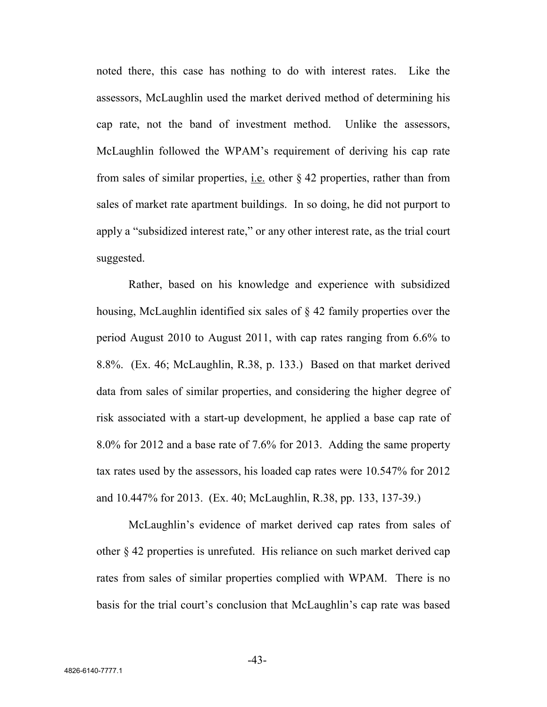noted there, this case has nothing to do with interest rates. Like the assessors, McLaughlin used the market derived method of determining his cap rate, not the band of investment method. Unlike the assessors, McLaughlin followed the WPAM's requirement of deriving his cap rate from sales of similar properties, i.e. other  $\S$  42 properties, rather than from sales of market rate apartment buildings. In so doing, he did not purport to apply a "subsidized interest rate," or any other interest rate, as the trial court suggested.

Rather, based on his knowledge and experience with subsidized housing, McLaughlin identified six sales of § 42 family properties over the period August 2010 to August 2011, with cap rates ranging from 6.6% to 8.8%. (Ex. 46; McLaughlin, R.38, p. 133.) Based on that market derived data from sales of similar properties, and considering the higher degree of risk associated with a start-up development, he applied a base cap rate of 8.0% for 2012 and a base rate of 7.6% for 2013. Adding the same property tax rates used by the assessors, his loaded cap rates were 10.547% for 2012 and 10.447% for 2013. (Ex. 40; McLaughlin, R.38, pp. 133, 137-39.)

McLaughlin's evidence of market derived cap rates from sales of other § 42 properties is unrefuted. His reliance on such market derived cap rates from sales of similar properties complied with WPAM. There is no basis for the trial court's conclusion that McLaughlin's cap rate was based

-43-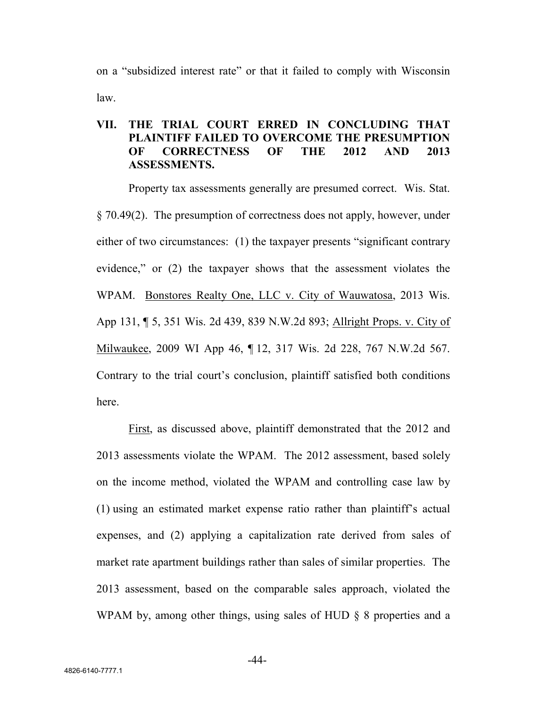on a "subsidized interest rate" or that it failed to comply with Wisconsin law.

### **VII. THE TRIAL COURT ERRED IN CONCLUDING THAT PLAINTIFF FAILED TO OVERCOME THE PRESUMPTION OF CORRECTNESS OF THE 2012 AND 2013 ASSESSMENTS.**

Property tax assessments generally are presumed correct. Wis. Stat. § 70.49(2). The presumption of correctness does not apply, however, under either of two circumstances: (1) the taxpayer presents "significant contrary evidence," or (2) the taxpayer shows that the assessment violates the WPAM. Bonstores Realty One, LLC v. City of Wauwatosa, 2013 Wis. App 131, ¶ 5, 351 Wis. 2d 439, 839 N.W.2d 893; Allright Props. v. City of Milwaukee, 2009 WI App 46, ¶ 12, 317 Wis. 2d 228, 767 N.W.2d 567. Contrary to the trial court's conclusion, plaintiff satisfied both conditions here.

First, as discussed above, plaintiff demonstrated that the 2012 and 2013 assessments violate the WPAM. The 2012 assessment, based solely on the income method, violated the WPAM and controlling case law by (1) using an estimated market expense ratio rather than plaintiff's actual expenses, and (2) applying a capitalization rate derived from sales of market rate apartment buildings rather than sales of similar properties. The 2013 assessment, based on the comparable sales approach, violated the WPAM by, among other things, using sales of HUD § 8 properties and a

-44-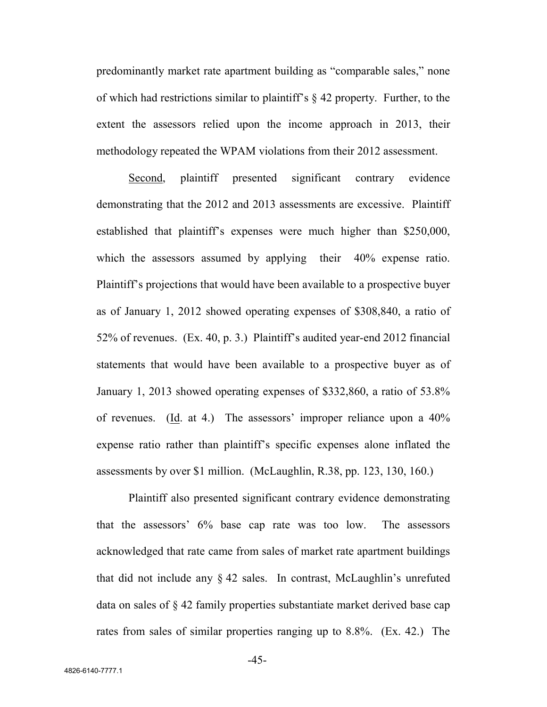predominantly market rate apartment building as "comparable sales," none of which had restrictions similar to plaintiff's § 42 property. Further, to the extent the assessors relied upon the income approach in 2013, their methodology repeated the WPAM violations from their 2012 assessment.

Second, plaintiff presented significant contrary evidence demonstrating that the 2012 and 2013 assessments are excessive. Plaintiff established that plaintiff's expenses were much higher than \$250,000, which the assessors assumed by applying their 40% expense ratio. Plaintiff's projections that would have been available to a prospective buyer as of January 1, 2012 showed operating expenses of \$308,840, a ratio of 52% of revenues. (Ex. 40, p. 3.) Plaintiff's audited year-end 2012 financial statements that would have been available to a prospective buyer as of January 1, 2013 showed operating expenses of \$332,860, a ratio of 53.8% of revenues. (Id. at 4.) The assessors' improper reliance upon a 40% expense ratio rather than plaintiff's specific expenses alone inflated the assessments by over \$1 million. (McLaughlin, R.38, pp. 123, 130, 160.)

Plaintiff also presented significant contrary evidence demonstrating that the assessors' 6% base cap rate was too low. The assessors acknowledged that rate came from sales of market rate apartment buildings that did not include any § 42 sales. In contrast, McLaughlin's unrefuted data on sales of § 42 family properties substantiate market derived base cap rates from sales of similar properties ranging up to 8.8%. (Ex. 42.) The

-45-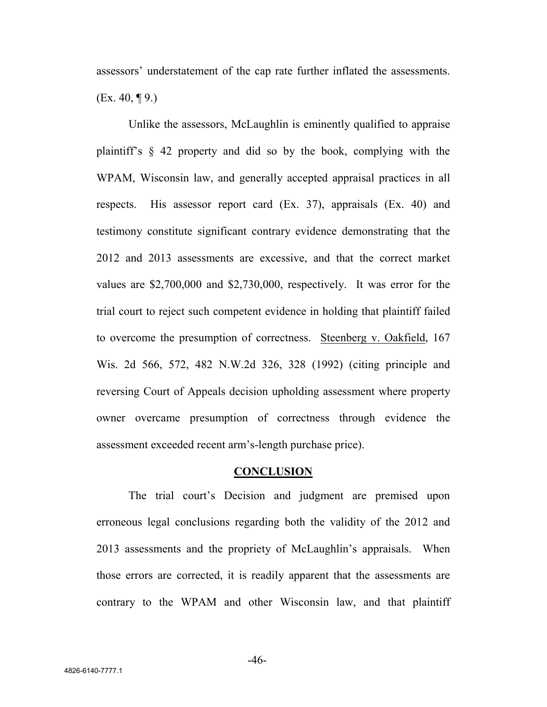assessors' understatement of the cap rate further inflated the assessments.  $(Ex. 40, \P 9.)$ 

Unlike the assessors, McLaughlin is eminently qualified to appraise plaintiff's § 42 property and did so by the book, complying with the WPAM, Wisconsin law, and generally accepted appraisal practices in all respects. His assessor report card (Ex. 37), appraisals (Ex. 40) and testimony constitute significant contrary evidence demonstrating that the 2012 and 2013 assessments are excessive, and that the correct market values are \$2,700,000 and \$2,730,000, respectively. It was error for the trial court to reject such competent evidence in holding that plaintiff failed to overcome the presumption of correctness. Steenberg v. Oakfield, 167 Wis. 2d 566, 572, 482 N.W.2d 326, 328 (1992) (citing principle and reversing Court of Appeals decision upholding assessment where property owner overcame presumption of correctness through evidence the assessment exceeded recent arm's-length purchase price).

#### **CONCLUSION**

The trial court's Decision and judgment are premised upon erroneous legal conclusions regarding both the validity of the 2012 and 2013 assessments and the propriety of McLaughlin's appraisals. When those errors are corrected, it is readily apparent that the assessments are contrary to the WPAM and other Wisconsin law, and that plaintiff

-46-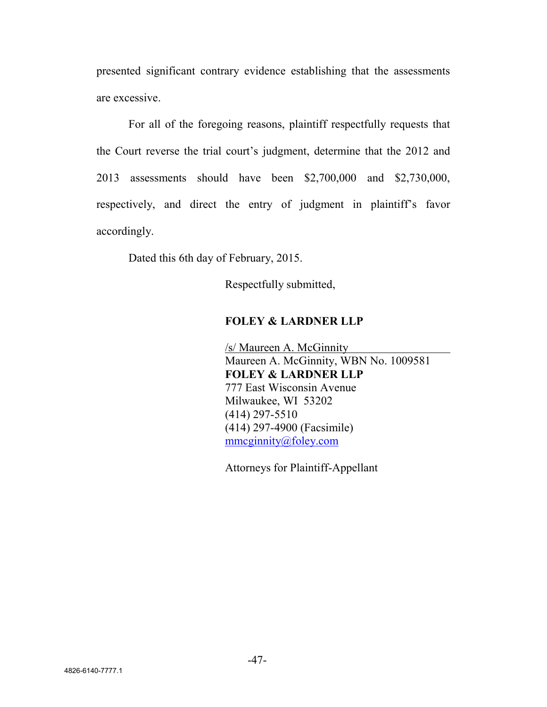presented significant contrary evidence establishing that the assessments are excessive.

For all of the foregoing reasons, plaintiff respectfully requests that the Court reverse the trial court's judgment, determine that the 2012 and 2013 assessments should have been \$2,700,000 and \$2,730,000, respectively, and direct the entry of judgment in plaintiff's favor accordingly.

Dated this 6th day of February, 2015.

Respectfully submitted,

### **FOLEY & LARDNER LLP**

/s/ Maureen A. McGinnity Maureen A. McGinnity, WBN No. 1009581 **FOLEY & LARDNER LLP** 777 East Wisconsin Avenue Milwaukee, WI 53202 (414) 297-5510 (414) 297-4900 (Facsimile) mmcginnity@foley.com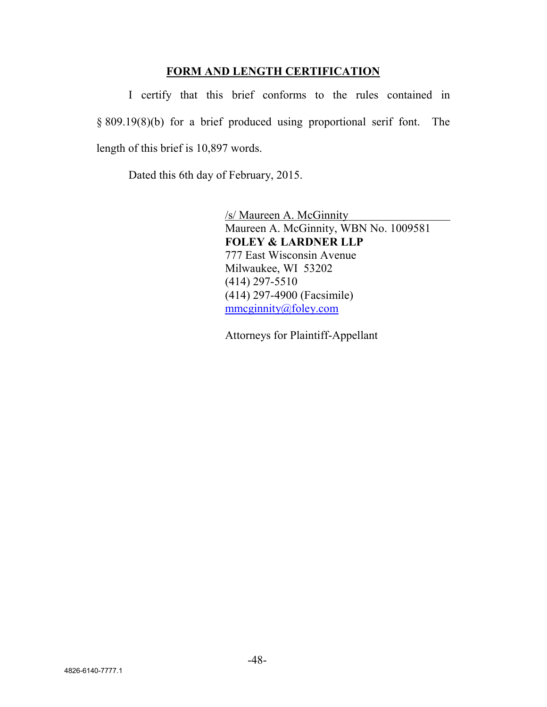### **FORM AND LENGTH CERTIFICATION**

I certify that this brief conforms to the rules contained in § 809.19(8)(b) for a brief produced using proportional serif font. The length of this brief is 10,897 words.

Dated this 6th day of February, 2015.

/s/ Maureen A. McGinnity Maureen A. McGinnity, WBN No. 1009581 **FOLEY & LARDNER LLP** 777 East Wisconsin Avenue Milwaukee, WI 53202 (414) 297-5510 (414) 297-4900 (Facsimile) mmcginnity@foley.com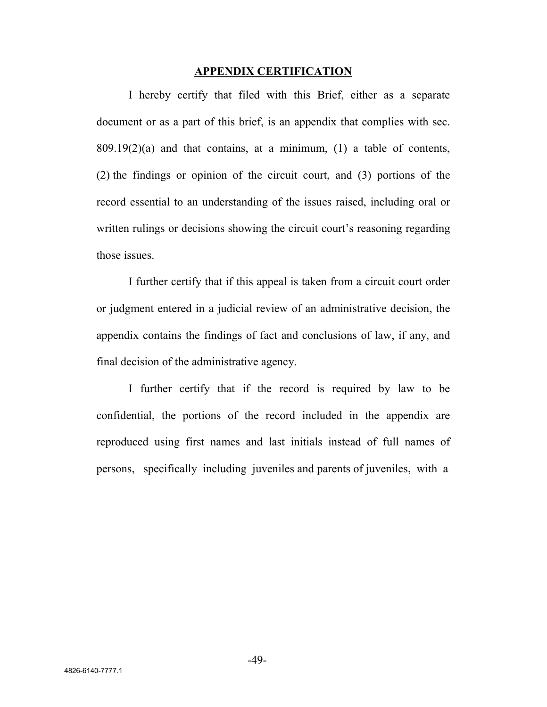#### **APPENDIX CERTIFICATION**

I hereby certify that filed with this Brief, either as a separate document or as a part of this brief, is an appendix that complies with sec.  $809.19(2)(a)$  and that contains, at a minimum, (1) a table of contents, (2) the findings or opinion of the circuit court, and (3) portions of the record essential to an understanding of the issues raised, including oral or written rulings or decisions showing the circuit court's reasoning regarding those issues.

I further certify that if this appeal is taken from a circuit court order or judgment entered in a judicial review of an administrative decision, the appendix contains the findings of fact and conclusions of law, if any, and final decision of the administrative agency.

I further certify that if the record is required by law to be confidential, the portions of the record included in the appendix are reproduced using first names and last initials instead of full names of persons, specifically including juveniles and parents of juveniles, with a

-49-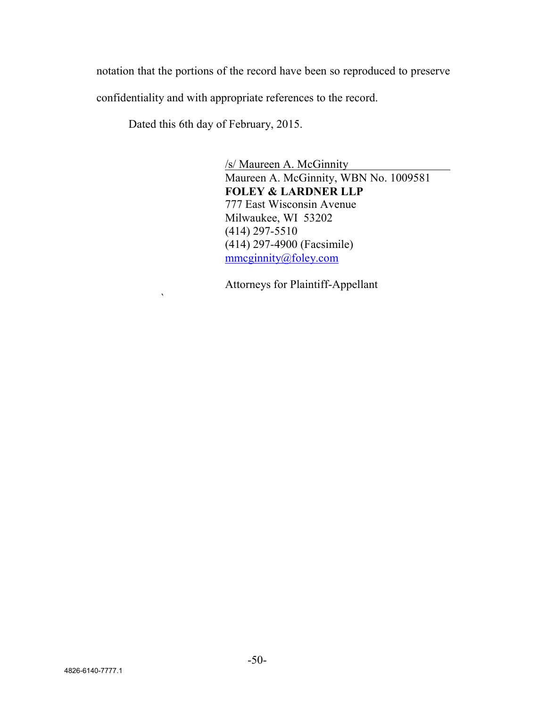notation that the portions of the record have been so reproduced to preserve

confidentiality and with appropriate references to the record.

Dated this 6th day of February, 2015.

 $\ddot{\phantom{0}}$ 

/s/ Maureen A. McGinnity Maureen A. McGinnity, WBN No. 1009581 **FOLEY & LARDNER LLP** 777 East Wisconsin Avenue Milwaukee, WI 53202 (414) 297-5510 (414) 297-4900 (Facsimile) mmcginnity@foley.com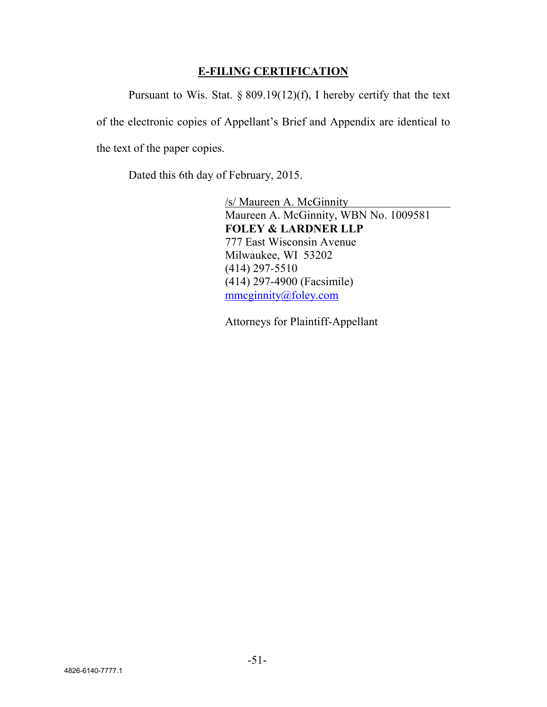# **E-FILING CERTIFICATION**

Pursuant to Wis. Stat.  $\S 809.19(12)(f)$ , I hereby certify that the text of the electronic copies of Appellant's Brief and Appendix are identical to the text of the paper copies.

Dated this 6th day of February, 2015.

/s/ Maureen A. McGinnity Maureen A. McGinnity, WBN No. 1009581 **FOLEY & LARDNER LLP** 777 East Wisconsin Avenue Milwaukee, WI 53202 (414) 297-5510 (414) 297-4900 (Facsimile) mmcginnity@foley.com